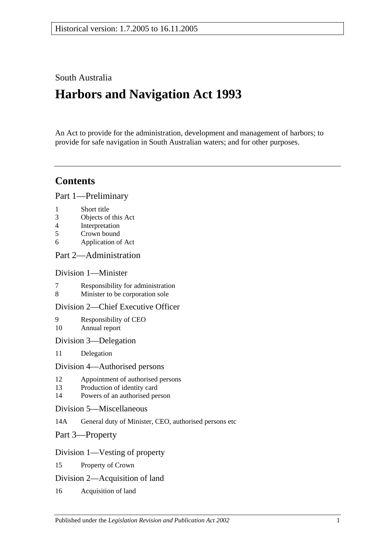# South Australia

# **Harbors and Navigation Act 1993**

An Act to provide for the administration, development and management of harbors; to provide for safe navigation in South Australian waters; and for other purposes.

# **Contents**

[Part 1—Preliminary](#page-6-0)

- 1 [Short title](#page-6-1)
- 3 [Objects of this Act](#page-6-2)
- 4 [Interpretation](#page-6-3)
- 5 [Crown bound](#page-9-0)
- 6 [Application of Act](#page-9-1)

# [Part 2—Administration](#page-10-0)

# [Division 1—Minister](#page-10-1)

- 7 [Responsibility for administration](#page-10-2)<br>8 Minister to be corporation sole
- [Minister to be corporation sole](#page-10-3)

# [Division 2—Chief Executive Officer](#page-10-4)

- 9 [Responsibility of CEO](#page-10-5) 10 [Annual report](#page-10-6)
- [Division 3—Delegation](#page-10-7)
- 11 [Delegation](#page-10-8)

#### [Division 4—Authorised persons](#page-10-9)

- 12 [Appointment of authorised persons](#page-10-10)
- 13 [Production of identity card](#page-11-0)
- 14 [Powers of an authorised person](#page-11-1)
- [Division 5—Miscellaneous](#page-13-0)
- 14A [General duty of Minister, CEO, authorised persons etc](#page-13-1)
- [Part 3—Property](#page-14-0)

# [Division 1—Vesting of property](#page-14-1)

- 15 [Property of Crown](#page-14-2)
- [Division 2—Acquisition of land](#page-14-3)
- 16 [Acquisition of land](#page-14-4)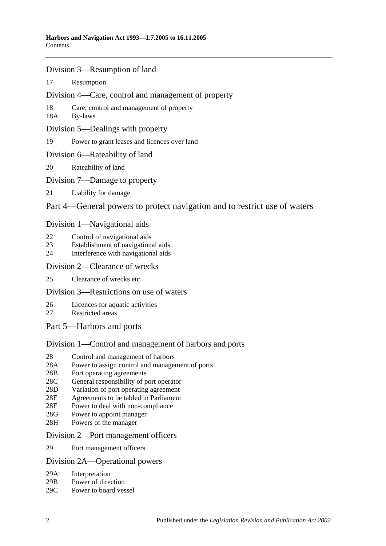- [Division 3—Resumption of land](#page-14-5)
- 17 [Resumption](#page-14-6)
- [Division 4—Care, control and management of property](#page-15-0)
- 18 [Care, control and management of property](#page-15-1)
- 18A [By-laws](#page-15-2)
- [Division 5—Dealings with property](#page-16-0)
- 19 [Power to grant leases and licences over land](#page-16-1)
- [Division 6—Rateability of land](#page-16-2)
- 20 [Rateability of land](#page-16-3)
- [Division 7—Damage to property](#page-16-4)
- 21 [Liability for damage](#page-16-5)

# [Part 4—General powers to protect navigation and to restrict use of waters](#page-18-0)

### [Division 1—Navigational aids](#page-18-1)

- 22 [Control of navigational aids](#page-18-2)
- 23 [Establishment of navigational aids](#page-18-3)
- 24 [Interference with navigational aids](#page-18-4)

### [Division 2—Clearance of wrecks](#page-19-0)

25 [Clearance of wrecks etc](#page-19-1)

# [Division 3—Restrictions on use of waters](#page-19-2)

- 26 [Licences for aquatic activities](#page-19-3)
- 27 [Restricted areas](#page-20-0)
- [Part 5—Harbors and ports](#page-22-0)

# [Division 1—Control and management of harbors and ports](#page-22-1)

- 28 [Control and management of harbors](#page-22-2)
- 28A [Power to assign control and management of ports](#page-22-3)
- 28B [Port operating agreements](#page-22-4)
- 28C [General responsibility of port operator](#page-23-0)
- 28D [Variation of port operating agreement](#page-23-1)
- 28E [Agreements to be tabled in Parliament](#page-23-2)
- 28F [Power to deal with non-compliance](#page-23-3)
- 28G [Power to appoint manager](#page-24-0)
- 28H [Powers of the manager](#page-24-1)

#### [Division 2—Port management officers](#page-25-0)

29 [Port management officers](#page-25-1)

#### [Division 2A—Operational powers](#page-25-2)

- 29A [Interpretation](#page-25-3)
- 29B [Power of direction](#page-25-4)
- 29C [Power to board vessel](#page-26-0)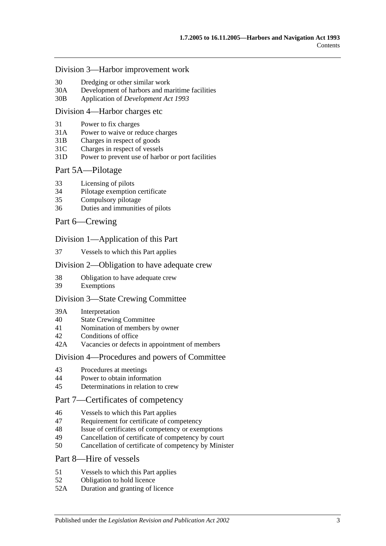#### [Division 3—Harbor improvement work](#page-26-1)

- 30 [Dredging or other similar work](#page-26-2)
- 30A [Development of harbors and maritime facilities](#page-26-3)
- 30B Application of *[Development Act](#page-27-0) 1993*

#### [Division 4—Harbor charges etc](#page-27-1)

- 31 [Power to fix charges](#page-27-2)
- 31A Power to waive [or reduce charges](#page-27-3)
- 31B [Charges in respect of goods](#page-27-4)
- 31C [Charges in respect of vessels](#page-28-0)
- 31D [Power to prevent use of harbor or port facilities](#page-28-1)

#### [Part 5A—Pilotage](#page-30-0)

- 33 [Licensing of pilots](#page-30-1)
- 34 [Pilotage exemption certificate](#page-30-2)
- 35 [Compulsory pilotage](#page-31-0)
- 36 [Duties and immunities of pilots](#page-31-1)

#### [Part 6—Crewing](#page-32-0)

#### [Division 1—Application of this Part](#page-32-1)

37 [Vessels to which this Part applies](#page-32-2)

#### [Division 2—Obligation to have adequate crew](#page-32-3)

- 38 [Obligation to have adequate crew](#page-32-4)
- 39 [Exemptions](#page-32-5)

#### [Division 3—State Crewing Committee](#page-32-6)

- 39A [Interpretation](#page-32-7)
- 40 [State Crewing Committee](#page-33-0)
- 41 [Nomination of members by owner](#page-33-1)
- 42 [Conditions of office](#page-34-0)
- 42A [Vacancies or defects in appointment of members](#page-34-1)

#### [Division 4—Procedures and powers of Committee](#page-34-2)

- 43 [Procedures at meetings](#page-34-3)
- 44 [Power to obtain information](#page-35-0)
- 45 [Determinations in relation to crew](#page-35-1)

# [Part 7—Certificates of competency](#page-36-0)

- 46 [Vessels to which this Part applies](#page-36-1)
- 47 [Requirement for certificate of competency](#page-36-2)
- 48 [Issue of certificates of competency or exemptions](#page-37-0)
- 49 [Cancellation of certificate of competency by court](#page-38-0)
- 50 [Cancellation of certificate of competency by Minister](#page-38-1)

### [Part 8—Hire of vessels](#page-40-0)

- 51 [Vessels to which this Part applies](#page-40-1)
- 52 [Obligation to hold licence](#page-40-2)
- 52A [Duration and granting of licence](#page-40-3)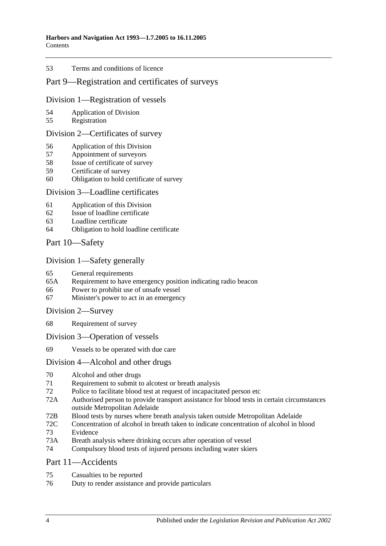#### 53 [Terms and conditions of licence](#page-40-4)

# [Part 9—Registration and certificates of surveys](#page-42-0)

#### [Division 1—Registration of vessels](#page-42-1)

- 54 [Application of Division](#page-42-2)
- 55 [Registration](#page-42-3)

## [Division 2—Certificates of survey](#page-42-4)

- 56 [Application of this Division](#page-42-5)
- 57 [Appointment of surveyors](#page-42-6)
- 58 [Issue of certificate of survey](#page-43-0)
- 59 [Certificate of survey](#page-43-1)
- 60 [Obligation to hold certificate of survey](#page-43-2)

#### [Division 3—Loadline certificates](#page-44-0)

- 61 [Application of this Division](#page-44-1)
- 62 [Issue of loadline certificate](#page-44-2)
- 63 [Loadline certificate](#page-44-3)
- 64 [Obligation to hold loadline certificate](#page-44-4)

# [Part 10—Safety](#page-46-0)

# [Division 1—Safety generally](#page-46-1)

- 65 [General requirements](#page-46-2)
- 65A [Requirement to have emergency position indicating radio beacon](#page-46-3)
- 66 [Power to prohibit use of unsafe vessel](#page-46-4)
- 67 [Minister's power to act in an emergency](#page-47-0)

#### [Division 2—Survey](#page-47-1)

- 68 [Requirement of survey](#page-47-2)
- [Division 3—Operation of vessels](#page-48-0)
- 69 [Vessels to be operated with due care](#page-48-1)

# [Division 4—Alcohol and other drugs](#page-48-2)

- 70 [Alcohol and other drugs](#page-48-3)
- 71 [Requirement to submit to alcotest or breath analysis](#page-49-0)
- 72 [Police to facilitate blood test at request of incapacitated person etc](#page-51-0)
- 72A [Authorised person to provide transport assistance for blood tests in certain circumstances](#page-51-1)  [outside Metropolitan Adelaide](#page-51-1)
- 72B [Blood tests by nurses where breath analysis taken outside Metropolitan Adelaide](#page-52-0)
- 72C [Concentration of alcohol in breath taken to indicate concentration of alcohol in blood](#page-52-1) 73 [Evidence](#page-52-2)
- 73A [Breath analysis where drinking occurs after operation of vessel](#page-54-0)
- 74 [Compulsory blood tests of injured persons including water skiers](#page-55-0)

#### [Part 11—Accidents](#page-60-0)

- 75 [Casualties to be reported](#page-60-1)
- 76 [Duty to render assistance and provide particulars](#page-60-2)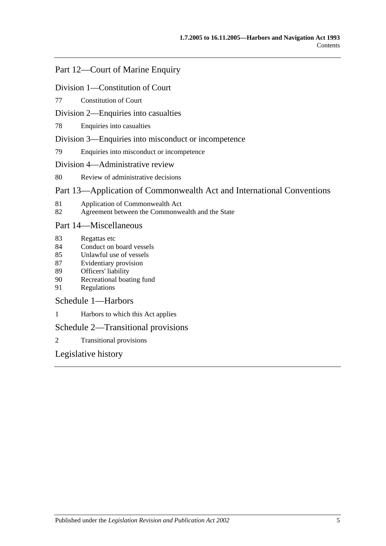# [Part 12—Court of Marine Enquiry](#page-62-0)

## [Division 1—Constitution of Court](#page-62-1)

77 [Constitution of Court](#page-62-2)

### [Division 2—Enquiries into casualties](#page-62-3)

78 [Enquiries into casualties](#page-62-4)

### [Division 3—Enquiries into misconduct or incompetence](#page-62-5)

79 [Enquiries into misconduct or incompetence](#page-62-6)

### [Division 4—Administrative review](#page-63-0)

80 [Review of administrative decisions](#page-63-1)

# [Part 13—Application of Commonwealth Act and International Conventions](#page-64-0)

- 81 [Application of Commonwealth Act](#page-64-1)
- 82 [Agreement between the Commonwealth and the State](#page-64-2)

### [Part 14—Miscellaneous](#page-66-0)

- 83 [Regattas etc](#page-66-1)
- 84 [Conduct on board vessels](#page-66-2)
- 85 [Unlawful use of vessels](#page-66-3)
- 87 [Evidentiary provision](#page-66-4)
- 89 [Officers' liability](#page-67-0)
- 90 [Recreational boating fund](#page-68-0)
- 91 [Regulations](#page-68-1)

# [Schedule 1—Harbors](#page-72-0)

1 [Harbors to which this Act applies](#page-72-1)

# [Schedule 2—Transitional provisions](#page-73-0)

2 [Transitional provisions](#page-73-1)

# [Legislative history](#page-74-0)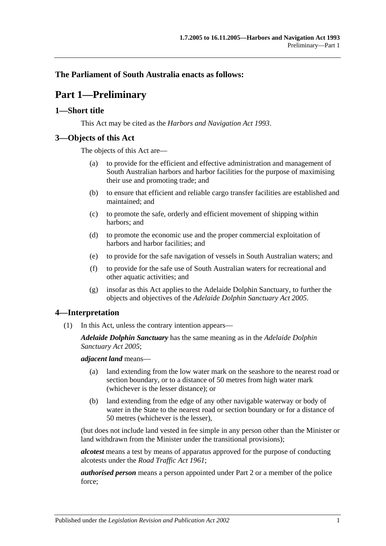# <span id="page-6-0"></span>**The Parliament of South Australia enacts as follows:**

# **Part 1—Preliminary**

# <span id="page-6-1"></span>**1—Short title**

This Act may be cited as the *Harbors and Navigation Act 1993*.

# <span id="page-6-2"></span>**3—Objects of this Act**

The objects of this Act are—

- (a) to provide for the efficient and effective administration and management of South Australian harbors and harbor facilities for the purpose of maximising their use and promoting trade; and
- (b) to ensure that efficient and reliable cargo transfer facilities are established and maintained; and
- (c) to promote the safe, orderly and efficient movement of shipping within harbors; and
- (d) to promote the economic use and the proper commercial exploitation of harbors and harbor facilities; and
- (e) to provide for the safe navigation of vessels in South Australian waters; and
- (f) to provide for the safe use of South Australian waters for recreational and other aquatic activities; and
- (g) insofar as this Act applies to the Adelaide Dolphin Sanctuary, to further the objects and objectives of the *[Adelaide Dolphin Sanctuary Act](http://www.legislation.sa.gov.au/index.aspx?action=legref&type=act&legtitle=Adelaide%20Dolphin%20Sanctuary%20Act%202005) 2005*.

# <span id="page-6-3"></span>**4—Interpretation**

(1) In this Act, unless the contrary intention appears—

*Adelaide Dolphin Sanctuary* has the same meaning as in the *[Adelaide Dolphin](http://www.legislation.sa.gov.au/index.aspx?action=legref&type=act&legtitle=Adelaide%20Dolphin%20Sanctuary%20Act%202005)  [Sanctuary Act](http://www.legislation.sa.gov.au/index.aspx?action=legref&type=act&legtitle=Adelaide%20Dolphin%20Sanctuary%20Act%202005) 2005*;

*adjacent land* means—

- (a) land extending from the low water mark on the seashore to the nearest road or section boundary, or to a distance of 50 metres from high water mark (whichever is the lesser distance); or
- (b) land extending from the edge of any other navigable waterway or body of water in the State to the nearest road or section boundary or for a distance of 50 metres (whichever is the lesser),

(but does not include land vested in fee simple in any person other than the Minister or land withdrawn from the Minister under the transitional provisions);

*alcotest* means a test by means of apparatus approved for the purpose of conducting alcotests under the *[Road Traffic Act](http://www.legislation.sa.gov.au/index.aspx?action=legref&type=act&legtitle=Road%20Traffic%20Act%201961) 1961*;

*authorised person* means a person appointed under [Part 2](#page-10-0) or a member of the police force;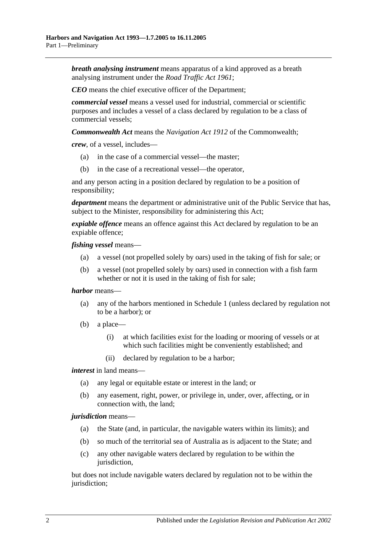*breath analysing instrument* means apparatus of a kind approved as a breath analysing instrument under the *[Road Traffic Act](http://www.legislation.sa.gov.au/index.aspx?action=legref&type=act&legtitle=Road%20Traffic%20Act%201961) 1961*;

*CEO* means the chief executive officer of the Department;

*commercial vessel* means a vessel used for industrial, commercial or scientific purposes and includes a vessel of a class declared by regulation to be a class of commercial vessels;

*Commonwealth Act* means the *Navigation Act 1912* of the Commonwealth;

*crew*, of a vessel, includes—

- (a) in the case of a commercial vessel—the master;
- (b) in the case of a recreational vessel—the operator,

and any person acting in a position declared by regulation to be a position of responsibility;

*department* means the department or administrative unit of the Public Service that has, subject to the Minister, responsibility for administering this Act;

*expiable offence* means an offence against this Act declared by regulation to be an expiable offence;

*fishing vessel* means—

- (a) a vessel (not propelled solely by oars) used in the taking of fish for sale; or
- (b) a vessel (not propelled solely by oars) used in connection with a fish farm whether or not it is used in the taking of fish for sale;

#### *harbor* means—

- (a) any of the harbors mentioned in [Schedule 1](#page-72-0) (unless declared by regulation not to be a harbor); or
- (b) a place—
	- (i) at which facilities exist for the loading or mooring of vessels or at which such facilities might be conveniently established; and
	- (ii) declared by regulation to be a harbor;

*interest* in land means—

- (a) any legal or equitable estate or interest in the land; or
- (b) any easement, right, power, or privilege in, under, over, affecting, or in connection with, the land;

#### *jurisdiction* means—

- (a) the State (and, in particular, the navigable waters within its limits); and
- (b) so much of the territorial sea of Australia as is adjacent to the State; and
- (c) any other navigable waters declared by regulation to be within the jurisdiction,

but does not include navigable waters declared by regulation not to be within the jurisdiction;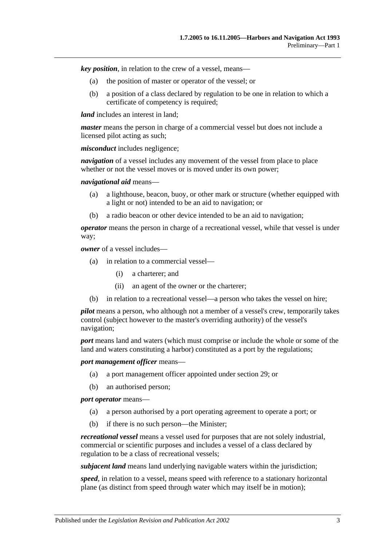*key position*, in relation to the crew of a vessel, means—

- (a) the position of master or operator of the vessel; or
- (b) a position of a class declared by regulation to be one in relation to which a certificate of competency is required;

*land* includes an interest in land:

*master* means the person in charge of a commercial vessel but does not include a licensed pilot acting as such;

*misconduct* includes negligence;

*navigation* of a vessel includes any movement of the vessel from place to place whether or not the vessel moves or is moved under its own power:

*navigational aid* means—

- (a) a lighthouse, beacon, buoy, or other mark or structure (whether equipped with a light or not) intended to be an aid to navigation; or
- (b) a radio beacon or other device intended to be an aid to navigation;

*operator* means the person in charge of a recreational vessel, while that vessel is under way;

*owner* of a vessel includes—

- (a) in relation to a commercial vessel—
	- (i) a charterer; and
	- (ii) an agent of the owner or the charterer;
- (b) in relation to a recreational vessel—a person who takes the vessel on hire;

*pilot* means a person, who although not a member of a vessel's crew, temporarily takes control (subject however to the master's overriding authority) of the vessel's navigation;

*port* means land and waters (which must comprise or include the whole or some of the land and waters constituting a harbor) constituted as a port by the regulations;

*port management officer* means—

- (a) a port management officer appointed under [section](#page-25-1) 29; or
- (b) an authorised person;

*port operator* means—

- (a) a person authorised by a port operating agreement to operate a port; or
- (b) if there is no such person—the Minister;

*recreational vessel* means a vessel used for purposes that are not solely industrial, commercial or scientific purposes and includes a vessel of a class declared by regulation to be a class of recreational vessels;

*subjacent land* means land underlying navigable waters within the jurisdiction;

*speed*, in relation to a vessel, means speed with reference to a stationary horizontal plane (as distinct from speed through water which may itself be in motion);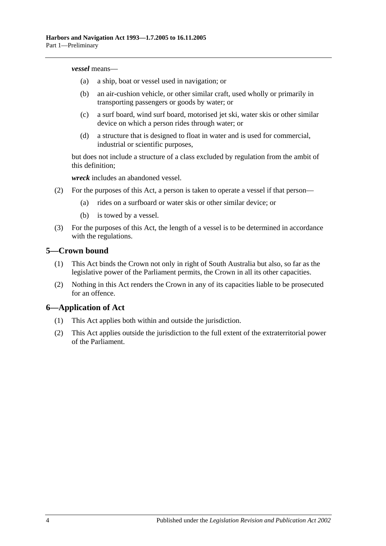#### *vessel* means—

- (a) a ship, boat or vessel used in navigation; or
- (b) an air-cushion vehicle, or other similar craft, used wholly or primarily in transporting passengers or goods by water; or
- (c) a surf board, wind surf board, motorised jet ski, water skis or other similar device on which a person rides through water; or
- (d) a structure that is designed to float in water and is used for commercial, industrial or scientific purposes,

but does not include a structure of a class excluded by regulation from the ambit of this definition;

*wreck* includes an abandoned vessel.

- (2) For the purposes of this Act, a person is taken to operate a vessel if that person—
	- (a) rides on a surfboard or water skis or other similar device; or
	- (b) is towed by a vessel.
- (3) For the purposes of this Act, the length of a vessel is to be determined in accordance with the regulations.

### <span id="page-9-0"></span>**5—Crown bound**

- (1) This Act binds the Crown not only in right of South Australia but also, so far as the legislative power of the Parliament permits, the Crown in all its other capacities.
- (2) Nothing in this Act renders the Crown in any of its capacities liable to be prosecuted for an offence.

# <span id="page-9-1"></span>**6—Application of Act**

- (1) This Act applies both within and outside the jurisdiction.
- (2) This Act applies outside the jurisdiction to the full extent of the extraterritorial power of the Parliament.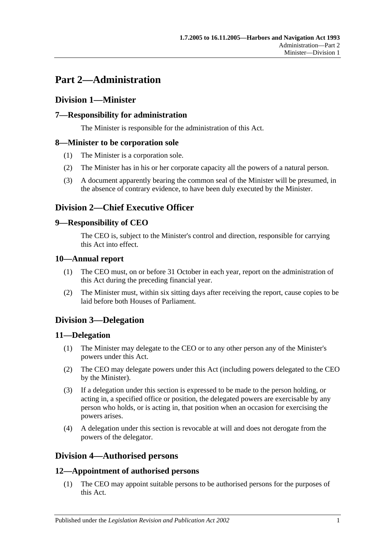# <span id="page-10-0"></span>**Part 2—Administration**

# <span id="page-10-1"></span>**Division 1—Minister**

# <span id="page-10-2"></span>**7—Responsibility for administration**

The Minister is responsible for the administration of this Act.

# <span id="page-10-3"></span>**8—Minister to be corporation sole**

- (1) The Minister is a corporation sole.
- (2) The Minister has in his or her corporate capacity all the powers of a natural person.
- (3) A document apparently bearing the common seal of the Minister will be presumed, in the absence of contrary evidence, to have been duly executed by the Minister.

# <span id="page-10-4"></span>**Division 2—Chief Executive Officer**

# <span id="page-10-5"></span>**9—Responsibility of CEO**

The CEO is, subject to the Minister's control and direction, responsible for carrying this Act into effect.

# <span id="page-10-6"></span>**10—Annual report**

- (1) The CEO must, on or before 31 October in each year, report on the administration of this Act during the preceding financial year.
- (2) The Minister must, within six sitting days after receiving the report, cause copies to be laid before both Houses of Parliament.

# <span id="page-10-7"></span>**Division 3—Delegation**

# <span id="page-10-8"></span>**11—Delegation**

- (1) The Minister may delegate to the CEO or to any other person any of the Minister's powers under this Act.
- (2) The CEO may delegate powers under this Act (including powers delegated to the CEO by the Minister).
- (3) If a delegation under this section is expressed to be made to the person holding, or acting in, a specified office or position, the delegated powers are exercisable by any person who holds, or is acting in, that position when an occasion for exercising the powers arises.
- (4) A delegation under this section is revocable at will and does not derogate from the powers of the delegator.

# <span id="page-10-9"></span>**Division 4—Authorised persons**

# <span id="page-10-10"></span>**12—Appointment of authorised persons**

(1) The CEO may appoint suitable persons to be authorised persons for the purposes of this Act.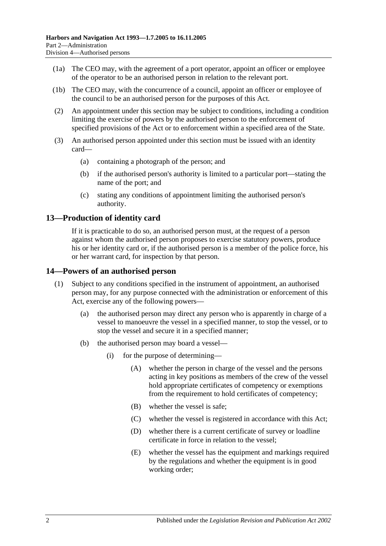- (1a) The CEO may, with the agreement of a port operator, appoint an officer or employee of the operator to be an authorised person in relation to the relevant port.
- (1b) The CEO may, with the concurrence of a council, appoint an officer or employee of the council to be an authorised person for the purposes of this Act.
- (2) An appointment under this section may be subject to conditions, including a condition limiting the exercise of powers by the authorised person to the enforcement of specified provisions of the Act or to enforcement within a specified area of the State.
- (3) An authorised person appointed under this section must be issued with an identity card—
	- (a) containing a photograph of the person; and
	- (b) if the authorised person's authority is limited to a particular port—stating the name of the port; and
	- (c) stating any conditions of appointment limiting the authorised person's authority.

# <span id="page-11-0"></span>**13—Production of identity card**

If it is practicable to do so, an authorised person must, at the request of a person against whom the authorised person proposes to exercise statutory powers, produce his or her identity card or, if the authorised person is a member of the police force, his or her warrant card, for inspection by that person.

### <span id="page-11-1"></span>**14—Powers of an authorised person**

- (1) Subject to any conditions specified in the instrument of appointment, an authorised person may, for any purpose connected with the administration or enforcement of this Act, exercise any of the following powers—
	- (a) the authorised person may direct any person who is apparently in charge of a vessel to manoeuvre the vessel in a specified manner, to stop the vessel, or to stop the vessel and secure it in a specified manner;
	- (b) the authorised person may board a vessel—
		- (i) for the purpose of determining—
			- (A) whether the person in charge of the vessel and the persons acting in key positions as members of the crew of the vessel hold appropriate certificates of competency or exemptions from the requirement to hold certificates of competency;
			- (B) whether the vessel is safe;
			- (C) whether the vessel is registered in accordance with this Act;
			- (D) whether there is a current certificate of survey or loadline certificate in force in relation to the vessel;
			- (E) whether the vessel has the equipment and markings required by the regulations and whether the equipment is in good working order;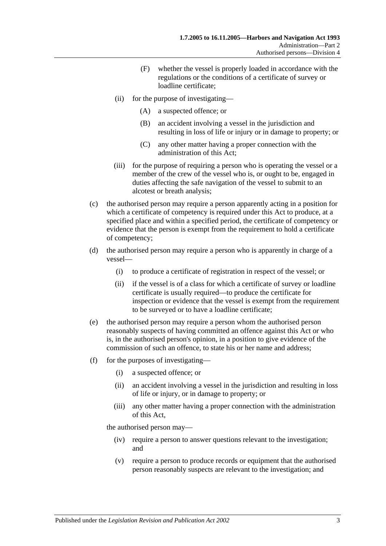- (F) whether the vessel is properly loaded in accordance with the regulations or the conditions of a certificate of survey or loadline certificate;
- (ii) for the purpose of investigating—
	- (A) a suspected offence; or
	- (B) an accident involving a vessel in the jurisdiction and resulting in loss of life or injury or in damage to property; or
	- (C) any other matter having a proper connection with the administration of this Act;
- (iii) for the purpose of requiring a person who is operating the vessel or a member of the crew of the vessel who is, or ought to be, engaged in duties affecting the safe navigation of the vessel to submit to an alcotest or breath analysis;
- (c) the authorised person may require a person apparently acting in a position for which a certificate of competency is required under this Act to produce, at a specified place and within a specified period, the certificate of competency or evidence that the person is exempt from the requirement to hold a certificate of competency;
- (d) the authorised person may require a person who is apparently in charge of a vessel—
	- (i) to produce a certificate of registration in respect of the vessel; or
	- (ii) if the vessel is of a class for which a certificate of survey or loadline certificate is usually required—to produce the certificate for inspection or evidence that the vessel is exempt from the requirement to be surveyed or to have a loadline certificate;
- (e) the authorised person may require a person whom the authorised person reasonably suspects of having committed an offence against this Act or who is, in the authorised person's opinion, in a position to give evidence of the commission of such an offence, to state his or her name and address;
- (f) for the purposes of investigating—
	- (i) a suspected offence; or
	- (ii) an accident involving a vessel in the jurisdiction and resulting in loss of life or injury, or in damage to property; or
	- (iii) any other matter having a proper connection with the administration of this Act,

the authorised person may—

- (iv) require a person to answer questions relevant to the investigation; and
- (v) require a person to produce records or equipment that the authorised person reasonably suspects are relevant to the investigation; and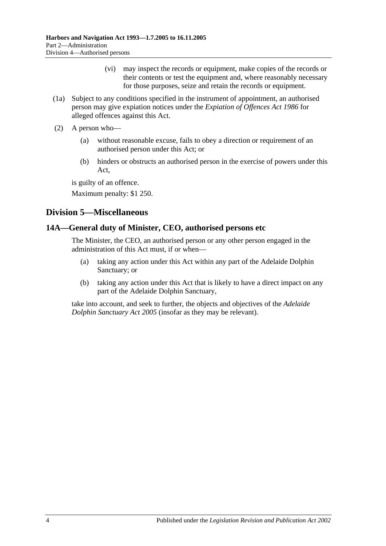- (vi) may inspect the records or equipment, make copies of the records or their contents or test the equipment and, where reasonably necessary for those purposes, seize and retain the records or equipment.
- (1a) Subject to any conditions specified in the instrument of appointment, an authorised person may give expiation notices under the *[Expiation of Offences Act](http://www.legislation.sa.gov.au/index.aspx?action=legref&type=act&legtitle=Expiation%20of%20Offences%20Act%201986) 1986* for alleged offences against this Act.
- (2) A person who—
	- (a) without reasonable excuse, fails to obey a direction or requirement of an authorised person under this Act; or
	- (b) hinders or obstructs an authorised person in the exercise of powers under this Act,

is guilty of an offence.

Maximum penalty: \$1 250.

# <span id="page-13-0"></span>**Division 5—Miscellaneous**

# <span id="page-13-1"></span>**14A—General duty of Minister, CEO, authorised persons etc**

The Minister, the CEO, an authorised person or any other person engaged in the administration of this Act must, if or when—

- (a) taking any action under this Act within any part of the Adelaide Dolphin Sanctuary; or
- (b) taking any action under this Act that is likely to have a direct impact on any part of the Adelaide Dolphin Sanctuary,

take into account, and seek to further, the objects and objectives of the *[Adelaide](http://www.legislation.sa.gov.au/index.aspx?action=legref&type=act&legtitle=Adelaide%20Dolphin%20Sanctuary%20Act%202005)  [Dolphin Sanctuary Act](http://www.legislation.sa.gov.au/index.aspx?action=legref&type=act&legtitle=Adelaide%20Dolphin%20Sanctuary%20Act%202005) 2005* (insofar as they may be relevant).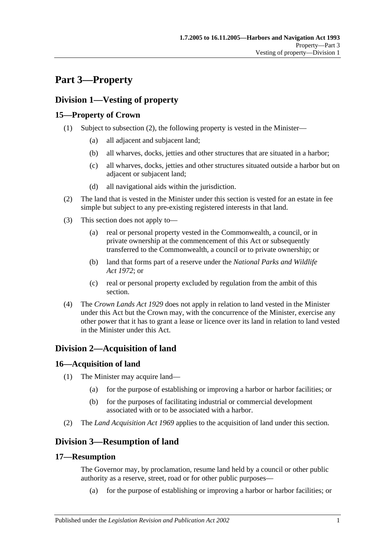# <span id="page-14-0"></span>**Part 3—Property**

# <span id="page-14-1"></span>**Division 1—Vesting of property**

# <span id="page-14-2"></span>**15—Property of Crown**

- (1) Subject to [subsection](#page-14-7) (2), the following property is vested in the Minister—
	- (a) all adjacent and subjacent land;
	- (b) all wharves, docks, jetties and other structures that are situated in a harbor;
	- (c) all wharves, docks, jetties and other structures situated outside a harbor but on adjacent or subjacent land;
	- (d) all navigational aids within the jurisdiction.
- <span id="page-14-7"></span>(2) The land that is vested in the Minister under this section is vested for an estate in fee simple but subject to any pre-existing registered interests in that land.
- (3) This section does not apply to—
	- (a) real or personal property vested in the Commonwealth, a council, or in private ownership at the commencement of this Act or subsequently transferred to the Commonwealth, a council or to private ownership; or
	- (b) land that forms part of a reserve under the *[National Parks and Wildlife](http://www.legislation.sa.gov.au/index.aspx?action=legref&type=act&legtitle=National%20Parks%20and%20Wildlife%20Act%201972)  Act [1972](http://www.legislation.sa.gov.au/index.aspx?action=legref&type=act&legtitle=National%20Parks%20and%20Wildlife%20Act%201972)*; or
	- (c) real or personal property excluded by regulation from the ambit of this section.
- (4) The *[Crown Lands Act](http://www.legislation.sa.gov.au/index.aspx?action=legref&type=act&legtitle=Crown%20Lands%20Act%201929) 1929* does not apply in relation to land vested in the Minister under this Act but the Crown may, with the concurrence of the Minister, exercise any other power that it has to grant a lease or licence over its land in relation to land vested in the Minister under this Act.

# <span id="page-14-3"></span>**Division 2—Acquisition of land**

# <span id="page-14-4"></span>**16—Acquisition of land**

- (1) The Minister may acquire land—
	- (a) for the purpose of establishing or improving a harbor or harbor facilities; or
	- (b) for the purposes of facilitating industrial or commercial development associated with or to be associated with a harbor.
- (2) The *[Land Acquisition Act](http://www.legislation.sa.gov.au/index.aspx?action=legref&type=act&legtitle=Land%20Acquisition%20Act%201969) 1969* applies to the acquisition of land under this section.

# <span id="page-14-5"></span>**Division 3—Resumption of land**

# <span id="page-14-6"></span>**17—Resumption**

The Governor may, by proclamation, resume land held by a council or other public authority as a reserve, street, road or for other public purposes—

(a) for the purpose of establishing or improving a harbor or harbor facilities; or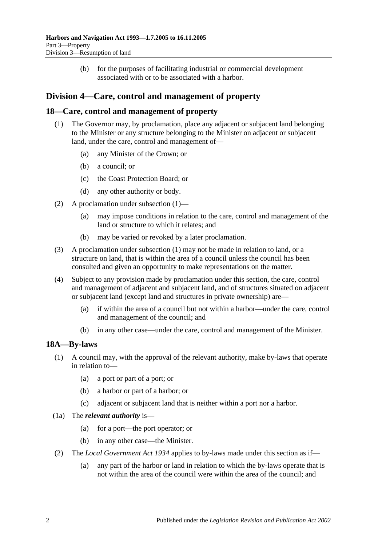(b) for the purposes of facilitating industrial or commercial development associated with or to be associated with a harbor.

# <span id="page-15-0"></span>**Division 4—Care, control and management of property**

# <span id="page-15-3"></span><span id="page-15-1"></span>**18—Care, control and management of property**

- (1) The Governor may, by proclamation, place any adjacent or subjacent land belonging to the Minister or any structure belonging to the Minister on adjacent or subjacent land, under the care, control and management of—
	- (a) any Minister of the Crown; or
	- (b) a council; or
	- (c) the Coast Protection Board; or
	- (d) any other authority or body.
- (2) A proclamation under [subsection](#page-15-3) (1)—
	- (a) may impose conditions in relation to the care, control and management of the land or structure to which it relates; and
	- (b) may be varied or revoked by a later proclamation.
- (3) A proclamation under [subsection](#page-15-3) (1) may not be made in relation to land, or a structure on land, that is within the area of a council unless the council has been consulted and given an opportunity to make representations on the matter.
- (4) Subject to any provision made by proclamation under this section, the care, control and management of adjacent and subjacent land, and of structures situated on adjacent or subjacent land (except land and structures in private ownership) are—
	- (a) if within the area of a council but not within a harbor—under the care, control and management of the council; and
	- (b) in any other case—under the care, control and management of the Minister.

# <span id="page-15-2"></span>**18A—By-laws**

- (1) A council may, with the approval of the relevant authority, make by-laws that operate in relation to—
	- (a) a port or part of a port; or
	- (b) a harbor or part of a harbor; or
	- (c) adjacent or subjacent land that is neither within a port nor a harbor.
- (1a) The *relevant authority* is—
	- (a) for a port—the port operator; or
	- (b) in any other case—the Minister.
- (2) The *[Local Government Act](http://www.legislation.sa.gov.au/index.aspx?action=legref&type=act&legtitle=Local%20Government%20Act%201934) 1934* applies to by-laws made under this section as if—
	- (a) any part of the harbor or land in relation to which the by-laws operate that is not within the area of the council were within the area of the council; and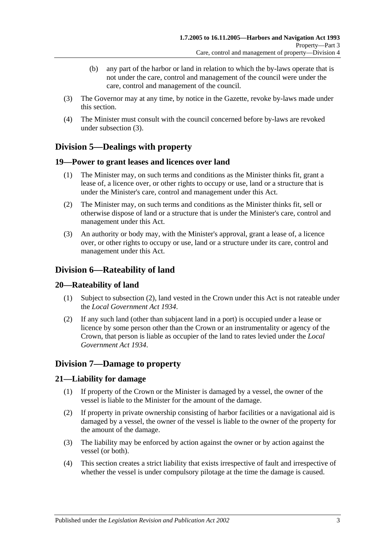- (b) any part of the harbor or land in relation to which the by-laws operate that is not under the care, control and management of the council were under the care, control and management of the council.
- <span id="page-16-6"></span>(3) The Governor may at any time, by notice in the Gazette, revoke by-laws made under this section.
- (4) The Minister must consult with the council concerned before by-laws are revoked under [subsection](#page-16-6) (3).

# <span id="page-16-0"></span>**Division 5—Dealings with property**

# <span id="page-16-1"></span>**19—Power to grant leases and licences over land**

- (1) The Minister may, on such terms and conditions as the Minister thinks fit, grant a lease of, a licence over, or other rights to occupy or use, land or a structure that is under the Minister's care, control and management under this Act.
- (2) The Minister may, on such terms and conditions as the Minister thinks fit, sell or otherwise dispose of land or a structure that is under the Minister's care, control and management under this Act.
- (3) An authority or body may, with the Minister's approval, grant a lease of, a licence over, or other rights to occupy or use, land or a structure under its care, control and management under this Act.

# <span id="page-16-2"></span>**Division 6—Rateability of land**

# <span id="page-16-3"></span>**20—Rateability of land**

- (1) Subject to [subsection](#page-16-7) (2), land vested in the Crown under this Act is not rateable under the *[Local Government Act](http://www.legislation.sa.gov.au/index.aspx?action=legref&type=act&legtitle=Local%20Government%20Act%201934) 1934*.
- <span id="page-16-7"></span>(2) If any such land (other than subjacent land in a port) is occupied under a lease or licence by some person other than the Crown or an instrumentality or agency of the Crown, that person is liable as occupier of the land to rates levied under the *[Local](http://www.legislation.sa.gov.au/index.aspx?action=legref&type=act&legtitle=Local%20Government%20Act%201934)  [Government Act](http://www.legislation.sa.gov.au/index.aspx?action=legref&type=act&legtitle=Local%20Government%20Act%201934) 1934*.

# <span id="page-16-4"></span>**Division 7—Damage to property**

# <span id="page-16-5"></span>**21—Liability for damage**

- (1) If property of the Crown or the Minister is damaged by a vessel, the owner of the vessel is liable to the Minister for the amount of the damage.
- (2) If property in private ownership consisting of harbor facilities or a navigational aid is damaged by a vessel, the owner of the vessel is liable to the owner of the property for the amount of the damage.
- (3) The liability may be enforced by action against the owner or by action against the vessel (or both).
- (4) This section creates a strict liability that exists irrespective of fault and irrespective of whether the vessel is under compulsory pilotage at the time the damage is caused.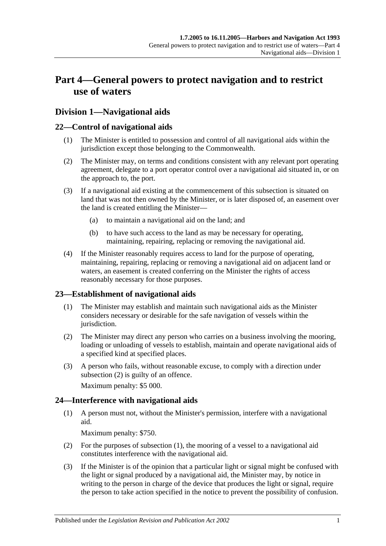# <span id="page-18-0"></span>**Part 4—General powers to protect navigation and to restrict use of waters**

# <span id="page-18-1"></span>**Division 1—Navigational aids**

# <span id="page-18-2"></span>**22—Control of navigational aids**

- (1) The Minister is entitled to possession and control of all navigational aids within the jurisdiction except those belonging to the Commonwealth.
- (2) The Minister may, on terms and conditions consistent with any relevant port operating agreement, delegate to a port operator control over a navigational aid situated in, or on the approach to, the port.
- (3) If a navigational aid existing at the commencement of this subsection is situated on land that was not then owned by the Minister, or is later disposed of, an easement over the land is created entitling the Minister—
	- (a) to maintain a navigational aid on the land; and
	- (b) to have such access to the land as may be necessary for operating, maintaining, repairing, replacing or removing the navigational aid.
- (4) If the Minister reasonably requires access to land for the purpose of operating, maintaining, repairing, replacing or removing a navigational aid on adjacent land or waters, an easement is created conferring on the Minister the rights of access reasonably necessary for those purposes.

# <span id="page-18-3"></span>**23—Establishment of navigational aids**

- (1) The Minister may establish and maintain such navigational aids as the Minister considers necessary or desirable for the safe navigation of vessels within the jurisdiction.
- <span id="page-18-5"></span>(2) The Minister may direct any person who carries on a business involving the mooring, loading or unloading of vessels to establish, maintain and operate navigational aids of a specified kind at specified places.
- (3) A person who fails, without reasonable excuse, to comply with a direction under [subsection](#page-18-5) (2) is guilty of an offence.

Maximum penalty: \$5 000.

# <span id="page-18-6"></span><span id="page-18-4"></span>**24—Interference with navigational aids**

(1) A person must not, without the Minister's permission, interfere with a navigational aid.

Maximum penalty: \$750.

- (2) For the purposes of [subsection](#page-18-6) (1), the mooring of a vessel to a navigational aid constitutes interference with the navigational aid.
- <span id="page-18-7"></span>(3) If the Minister is of the opinion that a particular light or signal might be confused with the light or signal produced by a navigational aid, the Minister may, by notice in writing to the person in charge of the device that produces the light or signal, require the person to take action specified in the notice to prevent the possibility of confusion.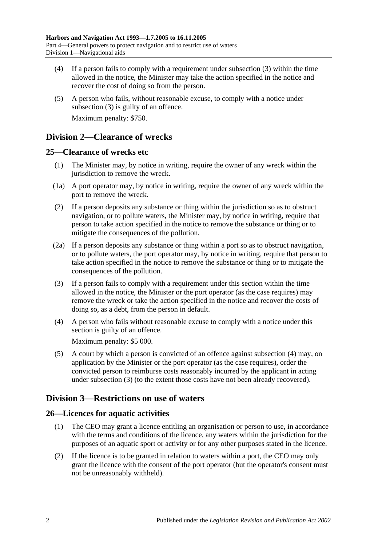- (4) If a person fails to comply with a requirement under [subsection](#page-18-7) (3) within the time allowed in the notice, the Minister may take the action specified in the notice and recover the cost of doing so from the person.
- (5) A person who fails, without reasonable excuse, to comply with a notice under [subsection](#page-18-7) (3) is guilty of an offence. Maximum penalty: \$750.

# <span id="page-19-0"></span>**Division 2—Clearance of wrecks**

# <span id="page-19-1"></span>**25—Clearance of wrecks etc**

- (1) The Minister may, by notice in writing, require the owner of any wreck within the jurisdiction to remove the wreck.
- (1a) A port operator may, by notice in writing, require the owner of any wreck within the port to remove the wreck.
- (2) If a person deposits any substance or thing within the jurisdiction so as to obstruct navigation, or to pollute waters, the Minister may, by notice in writing, require that person to take action specified in the notice to remove the substance or thing or to mitigate the consequences of the pollution.
- (2a) If a person deposits any substance or thing within a port so as to obstruct navigation, or to pollute waters, the port operator may, by notice in writing, require that person to take action specified in the notice to remove the substance or thing or to mitigate the consequences of the pollution.
- <span id="page-19-5"></span>(3) If a person fails to comply with a requirement under this section within the time allowed in the notice, the Minister or the port operator (as the case requires) may remove the wreck or take the action specified in the notice and recover the costs of doing so, as a debt, from the person in default.
- <span id="page-19-4"></span>(4) A person who fails without reasonable excuse to comply with a notice under this section is guilty of an offence.

Maximum penalty: \$5 000.

(5) A court by which a person is convicted of an offence against [subsection](#page-19-4) (4) may, on application by the Minister or the port operator (as the case requires), order the convicted person to reimburse costs reasonably incurred by the applicant in acting under [subsection](#page-19-5) (3) (to the extent those costs have not been already recovered).

# <span id="page-19-2"></span>**Division 3—Restrictions on use of waters**

# <span id="page-19-3"></span>**26—Licences for aquatic activities**

- (1) The CEO may grant a licence entitling an organisation or person to use, in accordance with the terms and conditions of the licence, any waters within the jurisdiction for the purposes of an aquatic sport or activity or for any other purposes stated in the licence.
- (2) If the licence is to be granted in relation to waters within a port, the CEO may only grant the licence with the consent of the port operator (but the operator's consent must not be unreasonably withheld).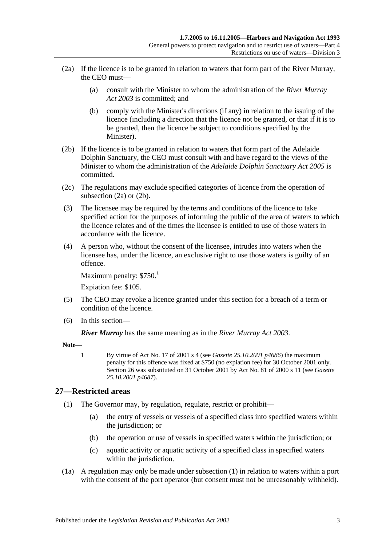- <span id="page-20-1"></span>(2a) If the licence is to be granted in relation to waters that form part of the River Murray, the CEO must—
	- (a) consult with the Minister to whom the administration of the *[River Murray](http://www.legislation.sa.gov.au/index.aspx?action=legref&type=act&legtitle=River%20Murray%20Act%202003)  Act [2003](http://www.legislation.sa.gov.au/index.aspx?action=legref&type=act&legtitle=River%20Murray%20Act%202003)* is committed; and
	- (b) comply with the Minister's directions (if any) in relation to the issuing of the licence (including a direction that the licence not be granted, or that if it is to be granted, then the licence be subject to conditions specified by the Minister).
- <span id="page-20-2"></span>(2b) If the licence is to be granted in relation to waters that form part of the Adelaide Dolphin Sanctuary, the CEO must consult with and have regard to the views of the Minister to whom the administration of the *[Adelaide Dolphin](http://www.legislation.sa.gov.au/index.aspx?action=legref&type=act&legtitle=Adelaide%20Dolphin%20Sanctuary%20Act%202005) Sanctuary Act 2005* is committed.
- (2c) The regulations may exclude specified categories of licence from the operation of [subsection](#page-20-1) (2a) or [\(2b\).](#page-20-2)
- (3) The licensee may be required by the terms and conditions of the licence to take specified action for the purposes of informing the public of the area of waters to which the licence relates and of the times the licensee is entitled to use of those waters in accordance with the licence.
- (4) A person who, without the consent of the licensee, intrudes into waters when the licensee has, under the licence, an exclusive right to use those waters is guilty of an offence.

Maximum penalty:  $$750.<sup>1</sup>$ 

Expiation fee: \$105.

- (5) The CEO may revoke a licence granted under this section for a breach of a term or condition of the licence.
- (6) In this section—

*River Murray* has the same meaning as in the *[River Murray Act](http://www.legislation.sa.gov.au/index.aspx?action=legref&type=act&legtitle=River%20Murray%20Act%202003) 2003*.

**Note—**

1 By virtue of Act No. 17 of 2001 s 4 (see *Gazette 25.10.2001 p4686*) the maximum penalty for this offence was fixed at \$750 (no expiation fee) for 30 October 2001 only. Section 26 was substituted on 31 October 2001 by Act No. 81 of 2000 s 11 (see *Gazette 25.10.2001 p4687*).

# <span id="page-20-3"></span><span id="page-20-0"></span>**27—Restricted areas**

- (1) The Governor may, by regulation, regulate, restrict or prohibit—
	- (a) the entry of vessels or vessels of a specified class into specified waters within the jurisdiction; or
	- (b) the operation or use of vessels in specified waters within the jurisdiction; or
	- (c) aquatic activity or aquatic activity of a specified class in specified waters within the jurisdiction.
- (1a) A regulation may only be made under [subsection](#page-20-3) (1) in relation to waters within a port with the consent of the port operator (but consent must not be unreasonably withheld).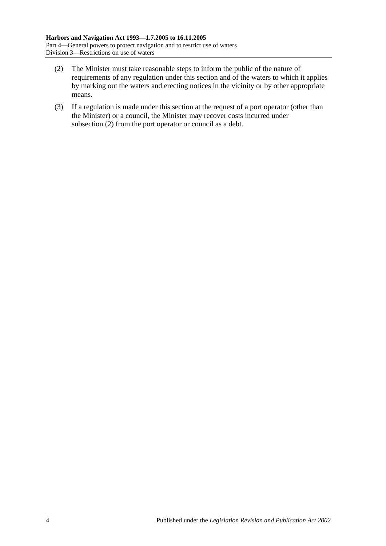- <span id="page-21-0"></span>(2) The Minister must take reasonable steps to inform the public of the nature of requirements of any regulation under this section and of the waters to which it applies by marking out the waters and erecting notices in the vicinity or by other appropriate means.
- (3) If a regulation is made under this section at the request of a port operator (other than the Minister) or a council, the Minister may recover costs incurred under [subsection](#page-21-0) (2) from the port operator or council as a debt.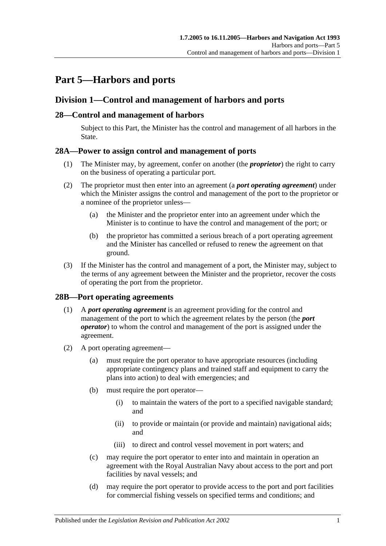# <span id="page-22-0"></span>**Part 5—Harbors and ports**

# <span id="page-22-1"></span>**Division 1—Control and management of harbors and ports**

# <span id="page-22-2"></span>**28—Control and management of harbors**

Subject to this Part, the Minister has the control and management of all harbors in the State.

# <span id="page-22-3"></span>**28A—Power to assign control and management of ports**

- (1) The Minister may, by agreement, confer on another (the *proprietor*) the right to carry on the business of operating a particular port.
- (2) The proprietor must then enter into an agreement (a *port operating agreement*) under which the Minister assigns the control and management of the port to the proprietor or a nominee of the proprietor unless—
	- (a) the Minister and the proprietor enter into an agreement under which the Minister is to continue to have the control and management of the port; or
	- (b) the proprietor has committed a serious breach of a port operating agreement and the Minister has cancelled or refused to renew the agreement on that ground.
- (3) If the Minister has the control and management of a port, the Minister may, subject to the terms of any agreement between the Minister and the proprietor, recover the costs of operating the port from the proprietor.

# <span id="page-22-4"></span>**28B—Port operating agreements**

- (1) A *port operating agreement* is an agreement providing for the control and management of the port to which the agreement relates by the person (the *port operator*) to whom the control and management of the port is assigned under the agreement.
- (2) A port operating agreement—
	- (a) must require the port operator to have appropriate resources (including appropriate contingency plans and trained staff and equipment to carry the plans into action) to deal with emergencies; and
	- (b) must require the port operator—
		- (i) to maintain the waters of the port to a specified navigable standard; and
		- (ii) to provide or maintain (or provide and maintain) navigational aids; and
		- (iii) to direct and control vessel movement in port waters; and
	- (c) may require the port operator to enter into and maintain in operation an agreement with the Royal Australian Navy about access to the port and port facilities by naval vessels; and
	- (d) may require the port operator to provide access to the port and port facilities for commercial fishing vessels on specified terms and conditions; and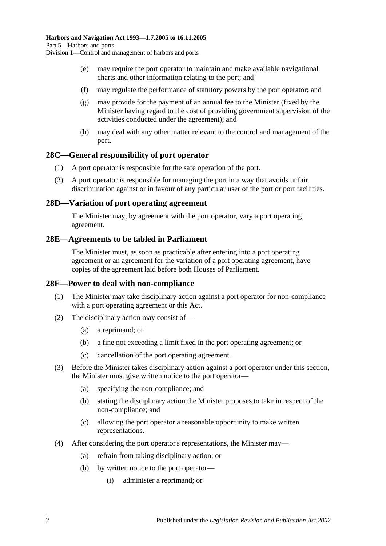- (e) may require the port operator to maintain and make available navigational charts and other information relating to the port; and
- (f) may regulate the performance of statutory powers by the port operator; and
- (g) may provide for the payment of an annual fee to the Minister (fixed by the Minister having regard to the cost of providing government supervision of the activities conducted under the agreement); and
- (h) may deal with any other matter relevant to the control and management of the port.

### <span id="page-23-0"></span>**28C—General responsibility of port operator**

- (1) A port operator is responsible for the safe operation of the port.
- (2) A port operator is responsible for managing the port in a way that avoids unfair discrimination against or in favour of any particular user of the port or port facilities.

#### <span id="page-23-1"></span>**28D—Variation of port operating agreement**

The Minister may, by agreement with the port operator, vary a port operating agreement.

#### <span id="page-23-2"></span>**28E—Agreements to be tabled in Parliament**

The Minister must, as soon as practicable after entering into a port operating agreement or an agreement for the variation of a port operating agreement, have copies of the agreement laid before both Houses of Parliament.

#### <span id="page-23-3"></span>**28F—Power to deal with non-compliance**

- (1) The Minister may take disciplinary action against a port operator for non-compliance with a port operating agreement or this Act.
- (2) The disciplinary action may consist of—
	- (a) a reprimand; or
	- (b) a fine not exceeding a limit fixed in the port operating agreement; or
	- (c) cancellation of the port operating agreement.
- (3) Before the Minister takes disciplinary action against a port operator under this section, the Minister must give written notice to the port operator—
	- (a) specifying the non-compliance; and
	- (b) stating the disciplinary action the Minister proposes to take in respect of the non-compliance; and
	- (c) allowing the port operator a reasonable opportunity to make written representations.
- (4) After considering the port operator's representations, the Minister may—
	- (a) refrain from taking disciplinary action; or
	- (b) by written notice to the port operator—
		- (i) administer a reprimand; or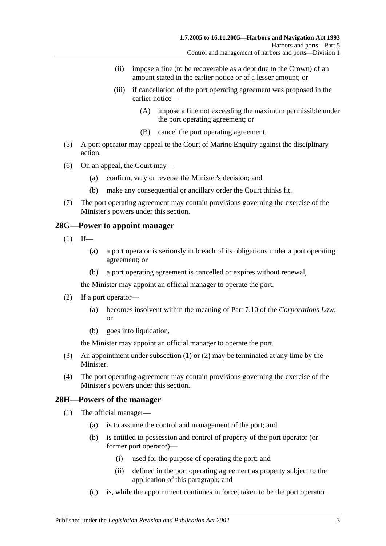- (ii) impose a fine (to be recoverable as a debt due to the Crown) of an amount stated in the earlier notice or of a lesser amount; or
- (iii) if cancellation of the port operating agreement was proposed in the earlier notice—
	- (A) impose a fine not exceeding the maximum permissible under the port operating agreement; or
	- (B) cancel the port operating agreement.
- (5) A port operator may appeal to the Court of Marine Enquiry against the disciplinary action.
- (6) On an appeal, the Court may—
	- (a) confirm, vary or reverse the Minister's decision; and
	- (b) make any consequential or ancillary order the Court thinks fit.
- (7) The port operating agreement may contain provisions governing the exercise of the Minister's powers under this section.

### <span id="page-24-2"></span><span id="page-24-0"></span>**28G—Power to appoint manager**

- $(1)$  If—
	- (a) a port operator is seriously in breach of its obligations under a port operating agreement; or
	- (b) a port operating agreement is cancelled or expires without renewal,

the Minister may appoint an official manager to operate the port.

- <span id="page-24-3"></span>(2) If a port operator—
	- (a) becomes insolvent within the meaning of Part 7.10 of the *Corporations Law*; or
	- (b) goes into liquidation,

the Minister may appoint an official manager to operate the port.

- (3) An appointment under [subsection](#page-24-2) (1) or [\(2\)](#page-24-3) may be terminated at any time by the Minister.
- (4) The port operating agreement may contain provisions governing the exercise of the Minister's powers under this section.

# <span id="page-24-4"></span><span id="page-24-1"></span>**28H—Powers of the manager**

- (1) The official manager—
	- (a) is to assume the control and management of the port; and
	- (b) is entitled to possession and control of property of the port operator (or former port operator)—
		- (i) used for the purpose of operating the port; and
		- (ii) defined in the port operating agreement as property subject to the application of this paragraph; and
	- (c) is, while the appointment continues in force, taken to be the port operator.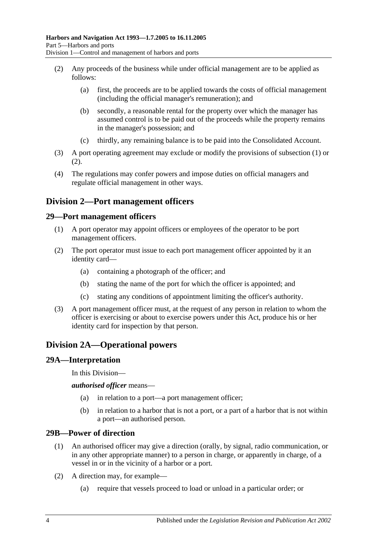- <span id="page-25-5"></span>(2) Any proceeds of the business while under official management are to be applied as follows:
	- (a) first, the proceeds are to be applied towards the costs of official management (including the official manager's remuneration); and
	- (b) secondly, a reasonable rental for the property over which the manager has assumed control is to be paid out of the proceeds while the property remains in the manager's possession; and
	- (c) thirdly, any remaining balance is to be paid into the Consolidated Account.
- (3) A port operating agreement may exclude or modify the provisions of [subsection](#page-24-4) (1) or [\(2\).](#page-25-5)
- (4) The regulations may confer powers and impose duties on official managers and regulate official management in other ways.

# <span id="page-25-0"></span>**Division 2—Port management officers**

# <span id="page-25-1"></span>**29—Port management officers**

- (1) A port operator may appoint officers or employees of the operator to be port management officers.
- (2) The port operator must issue to each port management officer appointed by it an identity card—
	- (a) containing a photograph of the officer; and
	- (b) stating the name of the port for which the officer is appointed; and
	- (c) stating any conditions of appointment limiting the officer's authority.
- (3) A port management officer must, at the request of any person in relation to whom the officer is exercising or about to exercise powers under this Act, produce his or her identity card for inspection by that person.

# <span id="page-25-2"></span>**Division 2A—Operational powers**

# <span id="page-25-3"></span>**29A—Interpretation**

In this Division—

*authorised officer* means—

- (a) in relation to a port—a port management officer;
- (b) in relation to a harbor that is not a port, or a part of a harbor that is not within a port—an authorised person.

# <span id="page-25-4"></span>**29B—Power of direction**

- (1) An authorised officer may give a direction (orally, by signal, radio communication, or in any other appropriate manner) to a person in charge, or apparently in charge, of a vessel in or in the vicinity of a harbor or a port.
- (2) A direction may, for example—
	- (a) require that vessels proceed to load or unload in a particular order; or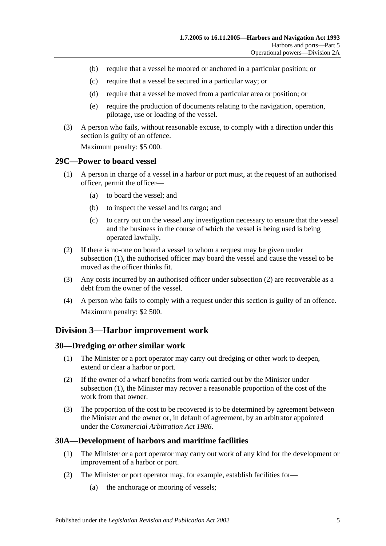- (b) require that a vessel be moored or anchored in a particular position; or
- (c) require that a vessel be secured in a particular way; or
- (d) require that a vessel be moved from a particular area or position; or
- (e) require the production of documents relating to the navigation, operation, pilotage, use or loading of the vessel.
- (3) A person who fails, without reasonable excuse, to comply with a direction under this section is guilty of an offence.

Maximum penalty: \$5 000.

#### <span id="page-26-4"></span><span id="page-26-0"></span>**29C—Power to board vessel**

- (1) A person in charge of a vessel in a harbor or port must, at the request of an authorised officer, permit the officer—
	- (a) to board the vessel; and
	- (b) to inspect the vessel and its cargo; and
	- (c) to carry out on the vessel any investigation necessary to ensure that the vessel and the business in the course of which the vessel is being used is being operated lawfully.
- <span id="page-26-5"></span>(2) If there is no-one on board a vessel to whom a request may be given under [subsection](#page-26-4) (1), the authorised officer may board the vessel and cause the vessel to be moved as the officer thinks fit.
- (3) Any costs incurred by an authorised officer under [subsection](#page-26-5) (2) are recoverable as a debt from the owner of the vessel.
- (4) A person who fails to comply with a request under this section is guilty of an offence. Maximum penalty: \$2 500.

# <span id="page-26-1"></span>**Division 3—Harbor improvement work**

#### <span id="page-26-6"></span><span id="page-26-2"></span>**30—Dredging or other similar work**

- (1) The Minister or a port operator may carry out dredging or other work to deepen, extend or clear a harbor or port.
- (2) If the owner of a wharf benefits from work carried out by the Minister under [subsection](#page-26-6) (1), the Minister may recover a reasonable proportion of the cost of the work from that owner.
- (3) The proportion of the cost to be recovered is to be determined by agreement between the Minister and the owner or, in default of agreement, by an arbitrator appointed under the *[Commercial Arbitration Act](http://www.legislation.sa.gov.au/index.aspx?action=legref&type=act&legtitle=Commercial%20Arbitration%20Act%201986) 1986*.

# <span id="page-26-3"></span>**30A—Development of harbors and maritime facilities**

- (1) The Minister or a port operator may carry out work of any kind for the development or improvement of a harbor or port.
- (2) The Minister or port operator may, for example, establish facilities for—
	- (a) the anchorage or mooring of vessels;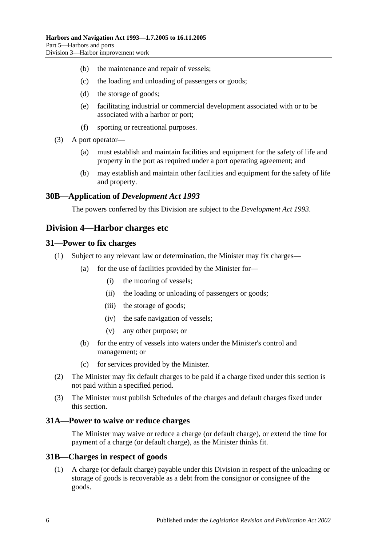- (b) the maintenance and repair of vessels;
- (c) the loading and unloading of passengers or goods;
- (d) the storage of goods;
- (e) facilitating industrial or commercial development associated with or to be associated with a harbor or port;
- (f) sporting or recreational purposes.
- (3) A port operator—
	- (a) must establish and maintain facilities and equipment for the safety of life and property in the port as required under a port operating agreement; and
	- (b) may establish and maintain other facilities and equipment for the safety of life and property.

### <span id="page-27-0"></span>**30B—Application of** *Development Act 1993*

The powers conferred by this Division are subject to the *[Development Act](http://www.legislation.sa.gov.au/index.aspx?action=legref&type=act&legtitle=Development%20Act%201993) 1993*.

# <span id="page-27-1"></span>**Division 4—Harbor charges etc**

#### <span id="page-27-2"></span>**31—Power to fix charges**

- (1) Subject to any relevant law or determination, the Minister may fix charges—
	- (a) for the use of facilities provided by the Minister for—
		- (i) the mooring of vessels;
		- (ii) the loading or unloading of passengers or goods;
		- (iii) the storage of goods;
		- (iv) the safe navigation of vessels;
		- (v) any other purpose; or
	- (b) for the entry of vessels into waters under the Minister's control and management; or
	- (c) for services provided by the Minister.
- (2) The Minister may fix default charges to be paid if a charge fixed under this section is not paid within a specified period.
- (3) The Minister must publish Schedules of the charges and default charges fixed under this section.

#### <span id="page-27-3"></span>**31A—Power to waive or reduce charges**

The Minister may waive or reduce a charge (or default charge), or extend the time for payment of a charge (or default charge), as the Minister thinks fit.

#### <span id="page-27-4"></span>**31B—Charges in respect of goods**

(1) A charge (or default charge) payable under this Division in respect of the unloading or storage of goods is recoverable as a debt from the consignor or consignee of the goods.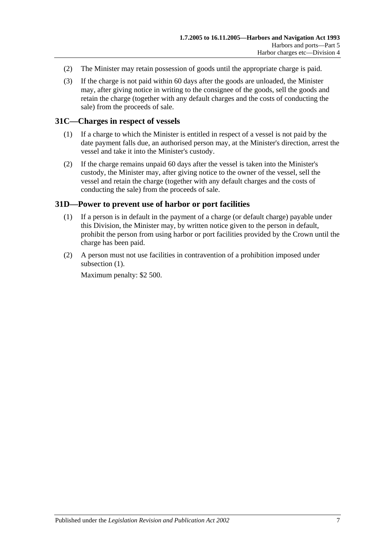- (2) The Minister may retain possession of goods until the appropriate charge is paid.
- (3) If the charge is not paid within 60 days after the goods are unloaded, the Minister may, after giving notice in writing to the consignee of the goods, sell the goods and retain the charge (together with any default charges and the costs of conducting the sale) from the proceeds of sale.

# <span id="page-28-0"></span>**31C—Charges in respect of vessels**

- (1) If a charge to which the Minister is entitled in respect of a vessel is not paid by the date payment falls due, an authorised person may, at the Minister's direction, arrest the vessel and take it into the Minister's custody.
- (2) If the charge remains unpaid 60 days after the vessel is taken into the Minister's custody, the Minister may, after giving notice to the owner of the vessel, sell the vessel and retain the charge (together with any default charges and the costs of conducting the sale) from the proceeds of sale.

# <span id="page-28-2"></span><span id="page-28-1"></span>**31D—Power to prevent use of harbor or port facilities**

- (1) If a person is in default in the payment of a charge (or default charge) payable under this Division, the Minister may, by written notice given to the person in default, prohibit the person from using harbor or port facilities provided by the Crown until the charge has been paid.
- (2) A person must not use facilities in contravention of a prohibition imposed under [subsection](#page-28-2)  $(1)$ .

Maximum penalty: \$2 500.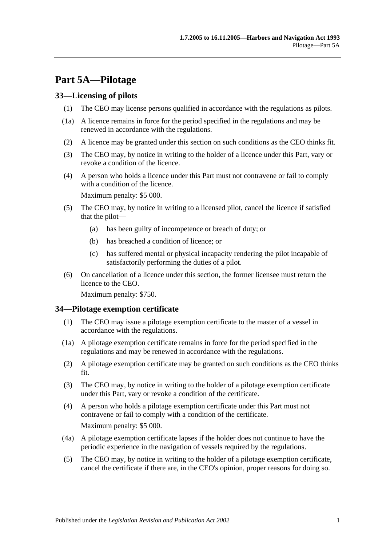# <span id="page-30-0"></span>**Part 5A—Pilotage**

# <span id="page-30-1"></span>**33—Licensing of pilots**

- (1) The CEO may license persons qualified in accordance with the regulations as pilots.
- (1a) A licence remains in force for the period specified in the regulations and may be renewed in accordance with the regulations.
- (2) A licence may be granted under this section on such conditions as the CEO thinks fit.
- (3) The CEO may, by notice in writing to the holder of a licence under this Part, vary or revoke a condition of the licence.
- (4) A person who holds a licence under this Part must not contravene or fail to comply with a condition of the licence.

Maximum penalty: \$5 000.

- (5) The CEO may, by notice in writing to a licensed pilot, cancel the licence if satisfied that the pilot—
	- (a) has been guilty of incompetence or breach of duty; or
	- (b) has breached a condition of licence; or
	- (c) has suffered mental or physical incapacity rendering the pilot incapable of satisfactorily performing the duties of a pilot.
- (6) On cancellation of a licence under this section, the former licensee must return the licence to the CEO.

Maximum penalty: \$750.

# <span id="page-30-2"></span>**34—Pilotage exemption certificate**

- (1) The CEO may issue a pilotage exemption certificate to the master of a vessel in accordance with the regulations.
- (1a) A pilotage exemption certificate remains in force for the period specified in the regulations and may be renewed in accordance with the regulations.
- (2) A pilotage exemption certificate may be granted on such conditions as the CEO thinks fit.
- (3) The CEO may, by notice in writing to the holder of a pilotage exemption certificate under this Part, vary or revoke a condition of the certificate.
- (4) A person who holds a pilotage exemption certificate under this Part must not contravene or fail to comply with a condition of the certificate. Maximum penalty: \$5 000.
- (4a) A pilotage exemption certificate lapses if the holder does not continue to have the periodic experience in the navigation of vessels required by the regulations.
- (5) The CEO may, by notice in writing to the holder of a pilotage exemption certificate, cancel the certificate if there are, in the CEO's opinion, proper reasons for doing so.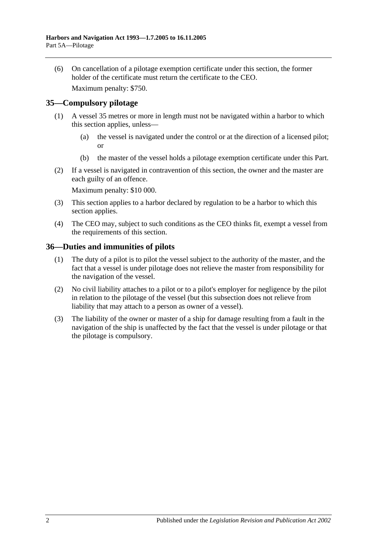(6) On cancellation of a pilotage exemption certificate under this section, the former holder of the certificate must return the certificate to the CEO.

Maximum penalty: \$750.

# <span id="page-31-0"></span>**35—Compulsory pilotage**

- (1) A vessel 35 metres or more in length must not be navigated within a harbor to which this section applies, unless—
	- (a) the vessel is navigated under the control or at the direction of a licensed pilot; or
	- (b) the master of the vessel holds a pilotage exemption certificate under this Part.
- (2) If a vessel is navigated in contravention of this section, the owner and the master are each guilty of an offence.

Maximum penalty: \$10 000.

- (3) This section applies to a harbor declared by regulation to be a harbor to which this section applies.
- (4) The CEO may, subject to such conditions as the CEO thinks fit, exempt a vessel from the requirements of this section.

### <span id="page-31-1"></span>**36—Duties and immunities of pilots**

- (1) The duty of a pilot is to pilot the vessel subject to the authority of the master, and the fact that a vessel is under pilotage does not relieve the master from responsibility for the navigation of the vessel.
- (2) No civil liability attaches to a pilot or to a pilot's employer for negligence by the pilot in relation to the pilotage of the vessel (but this subsection does not relieve from liability that may attach to a person as owner of a vessel).
- (3) The liability of the owner or master of a ship for damage resulting from a fault in the navigation of the ship is unaffected by the fact that the vessel is under pilotage or that the pilotage is compulsory.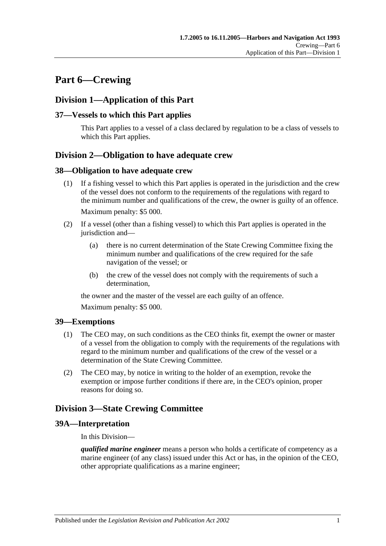# <span id="page-32-0"></span>**Part 6—Crewing**

# <span id="page-32-1"></span>**Division 1—Application of this Part**

# <span id="page-32-2"></span>**37—Vessels to which this Part applies**

This Part applies to a vessel of a class declared by regulation to be a class of vessels to which this Part applies.

# <span id="page-32-3"></span>**Division 2—Obligation to have adequate crew**

#### <span id="page-32-4"></span>**38—Obligation to have adequate crew**

- (1) If a fishing vessel to which this Part applies is operated in the jurisdiction and the crew of the vessel does not conform to the requirements of the regulations with regard to the minimum number and qualifications of the crew, the owner is guilty of an offence. Maximum penalty: \$5 000.
- (2) If a vessel (other than a fishing vessel) to which this Part applies is operated in the jurisdiction and—
	- (a) there is no current determination of the State Crewing Committee fixing the minimum number and qualifications of the crew required for the safe navigation of the vessel; or
	- (b) the crew of the vessel does not comply with the requirements of such a determination,

the owner and the master of the vessel are each guilty of an offence.

Maximum penalty: \$5 000.

# <span id="page-32-5"></span>**39—Exemptions**

- (1) The CEO may, on such conditions as the CEO thinks fit, exempt the owner or master of a vessel from the obligation to comply with the requirements of the regulations with regard to the minimum number and qualifications of the crew of the vessel or a determination of the State Crewing Committee.
- (2) The CEO may, by notice in writing to the holder of an exemption, revoke the exemption or impose further conditions if there are, in the CEO's opinion, proper reasons for doing so.

# <span id="page-32-6"></span>**Division 3—State Crewing Committee**

# <span id="page-32-7"></span>**39A—Interpretation**

In this Division—

*qualified marine engineer* means a person who holds a certificate of competency as a marine engineer (of any class) issued under this Act or has, in the opinion of the CEO, other appropriate qualifications as a marine engineer;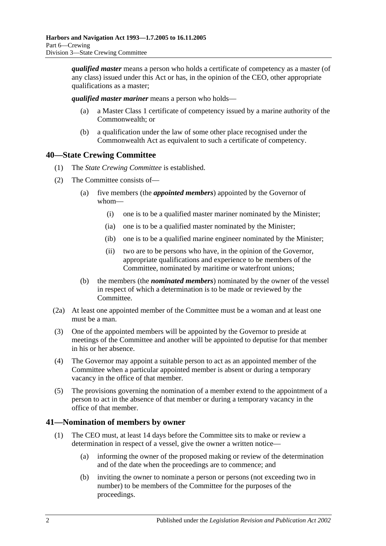*qualified master* means a person who holds a certificate of competency as a master (of any class) issued under this Act or has, in the opinion of the CEO, other appropriate qualifications as a master;

*qualified master mariner* means a person who holds—

- (a) a Master Class 1 certificate of competency issued by a marine authority of the Commonwealth; or
- (b) a qualification under the law of some other place recognised under the Commonwealth Act as equivalent to such a certificate of competency.

# <span id="page-33-0"></span>**40—State Crewing Committee**

- (1) The *State Crewing Committee* is established.
- (2) The Committee consists of—
	- (a) five members (the *appointed members*) appointed by the Governor of whom—
		- (i) one is to be a qualified master mariner nominated by the Minister;
		- (ia) one is to be a qualified master nominated by the Minister;
		- (ib) one is to be a qualified marine engineer nominated by the Minister;
		- (ii) two are to be persons who have, in the opinion of the Governor, appropriate qualifications and experience to be members of the Committee, nominated by maritime or waterfront unions;
	- (b) the members (the *nominated members*) nominated by the owner of the vessel in respect of which a determination is to be made or reviewed by the Committee.
- (2a) At least one appointed member of the Committee must be a woman and at least one must be a man.
- (3) One of the appointed members will be appointed by the Governor to preside at meetings of the Committee and another will be appointed to deputise for that member in his or her absence.
- (4) The Governor may appoint a suitable person to act as an appointed member of the Committee when a particular appointed member is absent or during a temporary vacancy in the office of that member.
- (5) The provisions governing the nomination of a member extend to the appointment of a person to act in the absence of that member or during a temporary vacancy in the office of that member.

# <span id="page-33-1"></span>**41—Nomination of members by owner**

- (1) The CEO must, at least 14 days before the Committee sits to make or review a determination in respect of a vessel, give the owner a written notice—
	- (a) informing the owner of the proposed making or review of the determination and of the date when the proceedings are to commence; and
	- (b) inviting the owner to nominate a person or persons (not exceeding two in number) to be members of the Committee for the purposes of the proceedings.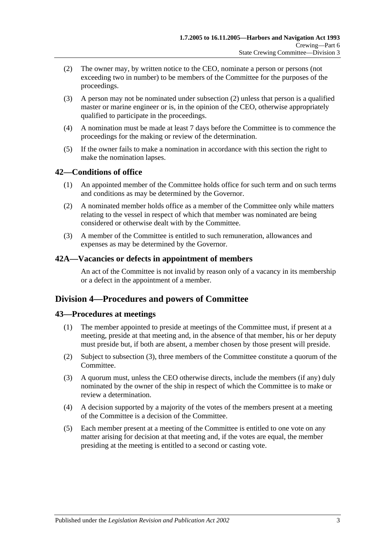- <span id="page-34-4"></span>(2) The owner may, by written notice to the CEO, nominate a person or persons (not exceeding two in number) to be members of the Committee for the purposes of the proceedings.
- (3) A person may not be nominated under [subsection](#page-34-4) (2) unless that person is a qualified master or marine engineer or is, in the opinion of the CEO, otherwise appropriately qualified to participate in the proceedings.
- (4) A nomination must be made at least 7 days before the Committee is to commence the proceedings for the making or review of the determination.
- (5) If the owner fails to make a nomination in accordance with this section the right to make the nomination lapses.

# <span id="page-34-0"></span>**42—Conditions of office**

- (1) An appointed member of the Committee holds office for such term and on such terms and conditions as may be determined by the Governor.
- (2) A nominated member holds office as a member of the Committee only while matters relating to the vessel in respect of which that member was nominated are being considered or otherwise dealt with by the Committee.
- (3) A member of the Committee is entitled to such remuneration, allowances and expenses as may be determined by the Governor.

### <span id="page-34-1"></span>**42A—Vacancies or defects in appointment of members**

An act of the Committee is not invalid by reason only of a vacancy in its membership or a defect in the appointment of a member.

# <span id="page-34-2"></span>**Division 4—Procedures and powers of Committee**

# <span id="page-34-3"></span>**43—Procedures at meetings**

- (1) The member appointed to preside at meetings of the Committee must, if present at a meeting, preside at that meeting and, in the absence of that member, his or her deputy must preside but, if both are absent, a member chosen by those present will preside.
- (2) Subject to [subsection](#page-34-5) (3), three members of the Committee constitute a quorum of the Committee.
- <span id="page-34-5"></span>(3) A quorum must, unless the CEO otherwise directs, include the members (if any) duly nominated by the owner of the ship in respect of which the Committee is to make or review a determination.
- (4) A decision supported by a majority of the votes of the members present at a meeting of the Committee is a decision of the Committee.
- (5) Each member present at a meeting of the Committee is entitled to one vote on any matter arising for decision at that meeting and, if the votes are equal, the member presiding at the meeting is entitled to a second or casting vote.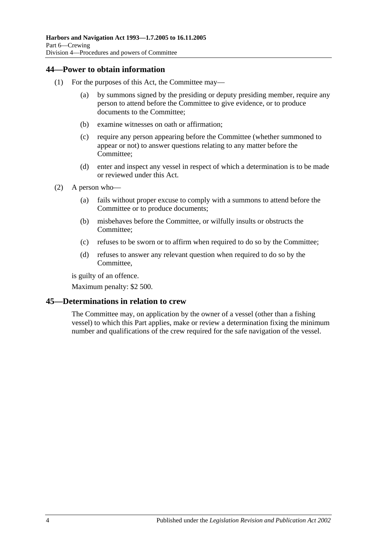# <span id="page-35-0"></span>**44—Power to obtain information**

- (1) For the purposes of this Act, the Committee may—
	- (a) by summons signed by the presiding or deputy presiding member, require any person to attend before the Committee to give evidence, or to produce documents to the Committee;
	- (b) examine witnesses on oath or affirmation;
	- (c) require any person appearing before the Committee (whether summoned to appear or not) to answer questions relating to any matter before the Committee;
	- (d) enter and inspect any vessel in respect of which a determination is to be made or reviewed under this Act.
- (2) A person who—
	- (a) fails without proper excuse to comply with a summons to attend before the Committee or to produce documents;
	- (b) misbehaves before the Committee, or wilfully insults or obstructs the Committee;
	- (c) refuses to be sworn or to affirm when required to do so by the Committee;
	- (d) refuses to answer any relevant question when required to do so by the Committee,

is guilty of an offence.

Maximum penalty: \$2 500.

# <span id="page-35-1"></span>**45—Determinations in relation to crew**

The Committee may, on application by the owner of a vessel (other than a fishing vessel) to which this Part applies, make or review a determination fixing the minimum number and qualifications of the crew required for the safe navigation of the vessel.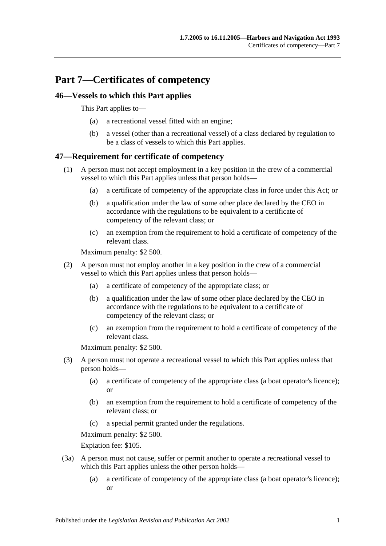# **Part 7—Certificates of competency**

## **46—Vessels to which this Part applies**

This Part applies to—

- (a) a recreational vessel fitted with an engine;
- (b) a vessel (other than a recreational vessel) of a class declared by regulation to be a class of vessels to which this Part applies.

## **47—Requirement for certificate of competency**

- (1) A person must not accept employment in a key position in the crew of a commercial vessel to which this Part applies unless that person holds—
	- (a) a certificate of competency of the appropriate class in force under this Act; or
	- (b) a qualification under the law of some other place declared by the CEO in accordance with the regulations to be equivalent to a certificate of competency of the relevant class; or
	- (c) an exemption from the requirement to hold a certificate of competency of the relevant class.

Maximum penalty: \$2 500.

- (2) A person must not employ another in a key position in the crew of a commercial vessel to which this Part applies unless that person holds—
	- (a) a certificate of competency of the appropriate class; or
	- (b) a qualification under the law of some other place declared by the CEO in accordance with the regulations to be equivalent to a certificate of competency of the relevant class; or
	- (c) an exemption from the requirement to hold a certificate of competency of the relevant class.

Maximum penalty: \$2 500.

- (3) A person must not operate a recreational vessel to which this Part applies unless that person holds—
	- (a) a certificate of competency of the appropriate class (a boat operator's licence); or
	- (b) an exemption from the requirement to hold a certificate of competency of the relevant class; or
	- (c) a special permit granted under the regulations.

Maximum penalty: \$2 500.

Expiation fee: \$105.

- (3a) A person must not cause, suffer or permit another to operate a recreational vessel to which this Part applies unless the other person holds—
	- (a) a certificate of competency of the appropriate class (a boat operator's licence); or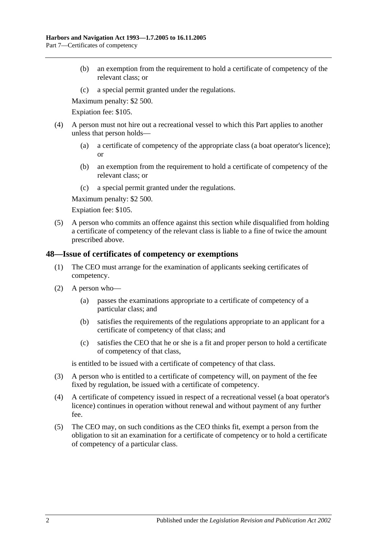- (b) an exemption from the requirement to hold a certificate of competency of the relevant class; or
- (c) a special permit granted under the regulations.

Maximum penalty: \$2 500.

Expiation fee: \$105.

- (4) A person must not hire out a recreational vessel to which this Part applies to another unless that person holds—
	- (a) a certificate of competency of the appropriate class (a boat operator's licence); or
	- (b) an exemption from the requirement to hold a certificate of competency of the relevant class; or
	- (c) a special permit granted under the regulations.

Maximum penalty: \$2 500.

Expiation fee: \$105.

(5) A person who commits an offence against this section while disqualified from holding a certificate of competency of the relevant class is liable to a fine of twice the amount prescribed above.

### **48—Issue of certificates of competency or exemptions**

- (1) The CEO must arrange for the examination of applicants seeking certificates of competency.
- (2) A person who—
	- (a) passes the examinations appropriate to a certificate of competency of a particular class; and
	- (b) satisfies the requirements of the regulations appropriate to an applicant for a certificate of competency of that class; and
	- (c) satisfies the CEO that he or she is a fit and proper person to hold a certificate of competency of that class,

is entitled to be issued with a certificate of competency of that class.

- (3) A person who is entitled to a certificate of competency will, on payment of the fee fixed by regulation, be issued with a certificate of competency.
- (4) A certificate of competency issued in respect of a recreational vessel (a boat operator's licence) continues in operation without renewal and without payment of any further fee.
- (5) The CEO may, on such conditions as the CEO thinks fit, exempt a person from the obligation to sit an examination for a certificate of competency or to hold a certificate of competency of a particular class.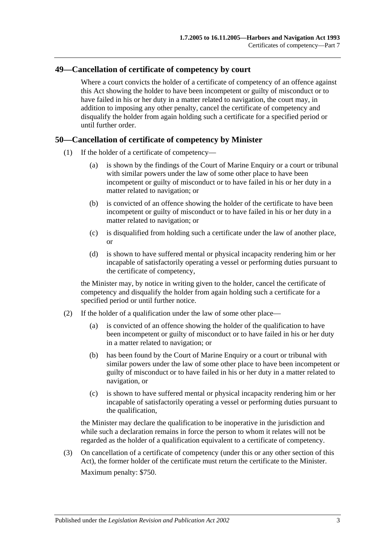### **49—Cancellation of certificate of competency by court**

Where a court convicts the holder of a certificate of competency of an offence against this Act showing the holder to have been incompetent or guilty of misconduct or to have failed in his or her duty in a matter related to navigation, the court may, in addition to imposing any other penalty, cancel the certificate of competency and disqualify the holder from again holding such a certificate for a specified period or until further order.

### **50—Cancellation of certificate of competency by Minister**

- (1) If the holder of a certificate of competency—
	- (a) is shown by the findings of the Court of Marine Enquiry or a court or tribunal with similar powers under the law of some other place to have been incompetent or guilty of misconduct or to have failed in his or her duty in a matter related to navigation; or
	- (b) is convicted of an offence showing the holder of the certificate to have been incompetent or guilty of misconduct or to have failed in his or her duty in a matter related to navigation; or
	- (c) is disqualified from holding such a certificate under the law of another place, or
	- (d) is shown to have suffered mental or physical incapacity rendering him or her incapable of satisfactorily operating a vessel or performing duties pursuant to the certificate of competency,

the Minister may, by notice in writing given to the holder, cancel the certificate of competency and disqualify the holder from again holding such a certificate for a specified period or until further notice.

- (2) If the holder of a qualification under the law of some other place—
	- (a) is convicted of an offence showing the holder of the qualification to have been incompetent or guilty of misconduct or to have failed in his or her duty in a matter related to navigation; or
	- (b) has been found by the Court of Marine Enquiry or a court or tribunal with similar powers under the law of some other place to have been incompetent or guilty of misconduct or to have failed in his or her duty in a matter related to navigation, or
	- (c) is shown to have suffered mental or physical incapacity rendering him or her incapable of satisfactorily operating a vessel or performing duties pursuant to the qualification,

the Minister may declare the qualification to be inoperative in the jurisdiction and while such a declaration remains in force the person to whom it relates will not be regarded as the holder of a qualification equivalent to a certificate of competency.

(3) On cancellation of a certificate of competency (under this or any other section of this Act), the former holder of the certificate must return the certificate to the Minister. Maximum penalty: \$750.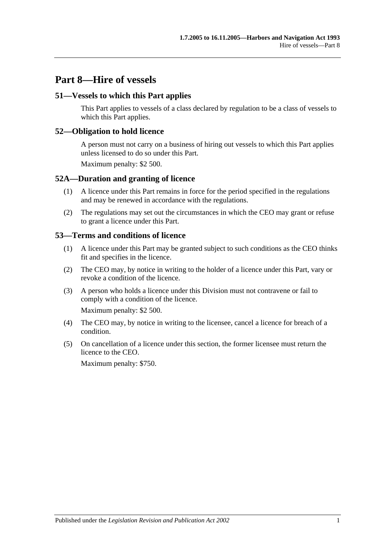# **Part 8—Hire of vessels**

### **51—Vessels to which this Part applies**

This Part applies to vessels of a class declared by regulation to be a class of vessels to which this Part applies.

#### **52—Obligation to hold licence**

A person must not carry on a business of hiring out vessels to which this Part applies unless licensed to do so under this Part.

Maximum penalty: \$2 500.

#### **52A—Duration and granting of licence**

- (1) A licence under this Part remains in force for the period specified in the regulations and may be renewed in accordance with the regulations.
- (2) The regulations may set out the circumstances in which the CEO may grant or refuse to grant a licence under this Part.

#### **53—Terms and conditions of licence**

- (1) A licence under this Part may be granted subject to such conditions as the CEO thinks fit and specifies in the licence.
- (2) The CEO may, by notice in writing to the holder of a licence under this Part, vary or revoke a condition of the licence.
- (3) A person who holds a licence under this Division must not contravene or fail to comply with a condition of the licence.

Maximum penalty: \$2 500.

- (4) The CEO may, by notice in writing to the licensee, cancel a licence for breach of a condition.
- (5) On cancellation of a licence under this section, the former licensee must return the licence to the CEO.

Maximum penalty: \$750.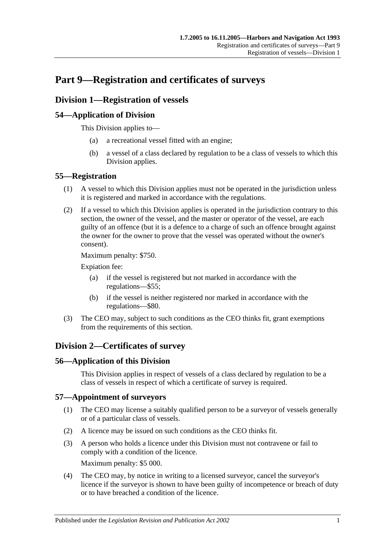# **Part 9—Registration and certificates of surveys**

# **Division 1—Registration of vessels**

## **54—Application of Division**

This Division applies to—

- (a) a recreational vessel fitted with an engine;
- (b) a vessel of a class declared by regulation to be a class of vessels to which this Division applies.

## **55—Registration**

- (1) A vessel to which this Division applies must not be operated in the jurisdiction unless it is registered and marked in accordance with the regulations.
- (2) If a vessel to which this Division applies is operated in the jurisdiction contrary to this section, the owner of the vessel, and the master or operator of the vessel, are each guilty of an offence (but it is a defence to a charge of such an offence brought against the owner for the owner to prove that the vessel was operated without the owner's consent).

Maximum penalty: \$750.

Expiation fee:

- (a) if the vessel is registered but not marked in accordance with the regulations—\$55;
- (b) if the vessel is neither registered nor marked in accordance with the regulations—\$80.
- (3) The CEO may, subject to such conditions as the CEO thinks fit, grant exemptions from the requirements of this section.

# **Division 2—Certificates of survey**

### **56—Application of this Division**

This Division applies in respect of vessels of a class declared by regulation to be a class of vessels in respect of which a certificate of survey is required.

### **57—Appointment of surveyors**

- (1) The CEO may license a suitably qualified person to be a surveyor of vessels generally or of a particular class of vessels.
- (2) A licence may be issued on such conditions as the CEO thinks fit.
- (3) A person who holds a licence under this Division must not contravene or fail to comply with a condition of the licence. Maximum penalty: \$5 000.
- (4) The CEO may, by notice in writing to a licensed surveyor, cancel the surveyor's licence if the surveyor is shown to have been guilty of incompetence or breach of duty or to have breached a condition of the licence.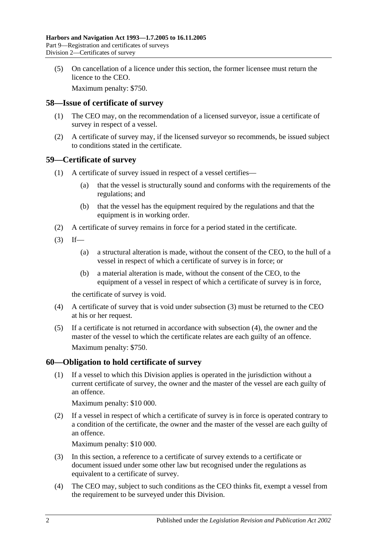(5) On cancellation of a licence under this section, the former licensee must return the licence to the CEO.

Maximum penalty: \$750.

#### **58—Issue of certificate of survey**

- (1) The CEO may, on the recommendation of a licensed surveyor, issue a certificate of survey in respect of a vessel.
- (2) A certificate of survey may, if the licensed surveyor so recommends, be issued subject to conditions stated in the certificate.

#### **59—Certificate of survey**

- (1) A certificate of survey issued in respect of a vessel certifies—
	- (a) that the vessel is structurally sound and conforms with the requirements of the regulations; and
	- (b) that the vessel has the equipment required by the regulations and that the equipment is in working order.
- (2) A certificate of survey remains in force for a period stated in the certificate.
- <span id="page-43-0"></span> $(3)$  If—
	- (a) a structural alteration is made, without the consent of the CEO, to the hull of a vessel in respect of which a certificate of survey is in force; or
	- (b) a material alteration is made, without the consent of the CEO, to the equipment of a vessel in respect of which a certificate of survey is in force,

the certificate of survey is void.

- <span id="page-43-1"></span>(4) A certificate of survey that is void under [subsection](#page-43-0) (3) must be returned to the CEO at his or her request.
- (5) If a certificate is not returned in accordance with [subsection](#page-43-1) (4), the owner and the master of the vessel to which the certificate relates are each guilty of an offence. Maximum penalty: \$750.

### **60—Obligation to hold certificate of survey**

(1) If a vessel to which this Division applies is operated in the jurisdiction without a current certificate of survey, the owner and the master of the vessel are each guilty of an offence.

Maximum penalty: \$10 000.

(2) If a vessel in respect of which a certificate of survey is in force is operated contrary to a condition of the certificate, the owner and the master of the vessel are each guilty of an offence.

Maximum penalty: \$10 000.

- (3) In this section, a reference to a certificate of survey extends to a certificate or document issued under some other law but recognised under the regulations as equivalent to a certificate of survey.
- (4) The CEO may, subject to such conditions as the CEO thinks fit, exempt a vessel from the requirement to be surveyed under this Division.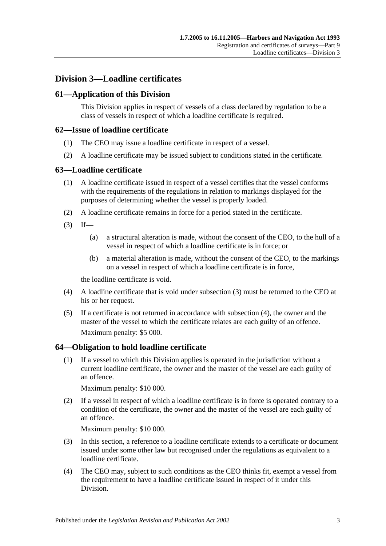# **Division 3—Loadline certificates**

## **61—Application of this Division**

This Division applies in respect of vessels of a class declared by regulation to be a class of vessels in respect of which a loadline certificate is required.

#### **62—Issue of loadline certificate**

- (1) The CEO may issue a loadline certificate in respect of a vessel.
- (2) A loadline certificate may be issued subject to conditions stated in the certificate.

#### **63—Loadline certificate**

- (1) A loadline certificate issued in respect of a vessel certifies that the vessel conforms with the requirements of the regulations in relation to markings displayed for the purposes of determining whether the vessel is properly loaded.
- (2) A loadline certificate remains in force for a period stated in the certificate.
- <span id="page-44-0"></span> $(3)$  If—
	- (a) a structural alteration is made, without the consent of the CEO, to the hull of a vessel in respect of which a loadline certificate is in force; or
	- (b) a material alteration is made, without the consent of the CEO, to the markings on a vessel in respect of which a loadline certificate is in force,

the loadline certificate is void.

- <span id="page-44-1"></span>(4) A loadline certificate that is void under [subsection](#page-44-0) (3) must be returned to the CEO at his or her request.
- (5) If a certificate is not returned in accordance with [subsection](#page-44-1) (4), the owner and the master of the vessel to which the certificate relates are each guilty of an offence. Maximum penalty: \$5 000.

### **64—Obligation to hold loadline certificate**

(1) If a vessel to which this Division applies is operated in the jurisdiction without a current loadline certificate, the owner and the master of the vessel are each guilty of an offence.

Maximum penalty: \$10 000.

(2) If a vessel in respect of which a loadline certificate is in force is operated contrary to a condition of the certificate, the owner and the master of the vessel are each guilty of an offence.

Maximum penalty: \$10 000.

- (3) In this section, a reference to a loadline certificate extends to a certificate or document issued under some other law but recognised under the regulations as equivalent to a loadline certificate.
- (4) The CEO may, subject to such conditions as the CEO thinks fit, exempt a vessel from the requirement to have a loadline certificate issued in respect of it under this Division.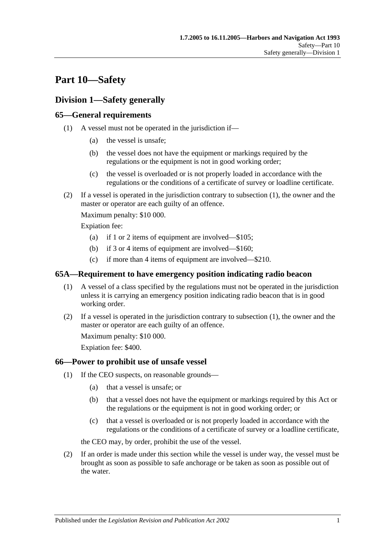# **Part 10—Safety**

# **Division 1—Safety generally**

## <span id="page-46-0"></span>**65—General requirements**

- (1) A vessel must not be operated in the jurisdiction if—
	- (a) the vessel is unsafe;
	- (b) the vessel does not have the equipment or markings required by the regulations or the equipment is not in good working order;
	- (c) the vessel is overloaded or is not properly loaded in accordance with the regulations or the conditions of a certificate of survey or loadline certificate.
- (2) If a vessel is operated in the jurisdiction contrary to [subsection](#page-46-0) (1), the owner and the master or operator are each guilty of an offence.

Maximum penalty: \$10 000.

Expiation fee:

- (a) if 1 or 2 items of equipment are involved—\$105;
- (b) if 3 or 4 items of equipment are involved—\$160;
- (c) if more than 4 items of equipment are involved—\$210.

#### <span id="page-46-1"></span>**65A—Requirement to have emergency position indicating radio beacon**

- (1) A vessel of a class specified by the regulations must not be operated in the jurisdiction unless it is carrying an emergency position indicating radio beacon that is in good working order.
- (2) If a vessel is operated in the jurisdiction contrary to [subsection](#page-46-1) (1), the owner and the master or operator are each guilty of an offence.

Maximum penalty: \$10 000.

Expiation fee: \$400.

### <span id="page-46-3"></span>**66—Power to prohibit use of unsafe vessel**

- (1) If the CEO suspects, on reasonable grounds—
	- (a) that a vessel is unsafe; or
	- (b) that a vessel does not have the equipment or markings required by this Act or the regulations or the equipment is not in good working order; or
	- (c) that a vessel is overloaded or is not properly loaded in accordance with the regulations or the conditions of a certificate of survey or a loadline certificate,

the CEO may, by order, prohibit the use of the vessel.

<span id="page-46-2"></span>(2) If an order is made under this section while the vessel is under way, the vessel must be brought as soon as possible to safe anchorage or be taken as soon as possible out of the water.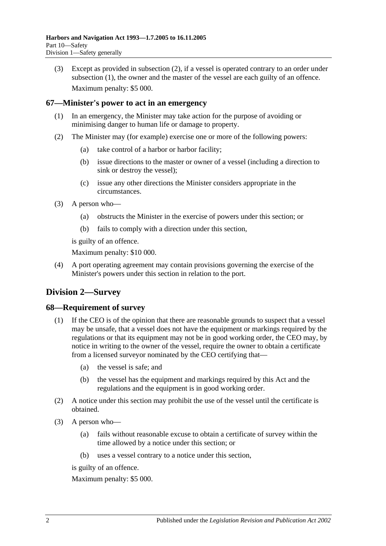(3) Except as provided in [subsection](#page-46-2) (2), if a vessel is operated contrary to an order under [subsection](#page-46-3) (1), the owner and the master of the vessel are each guilty of an offence. Maximum penalty: \$5 000.

### **67—Minister's power to act in an emergency**

- (1) In an emergency, the Minister may take action for the purpose of avoiding or minimising danger to human life or damage to property.
- (2) The Minister may (for example) exercise one or more of the following powers:
	- (a) take control of a harbor or harbor facility;
	- (b) issue directions to the master or owner of a vessel (including a direction to sink or destroy the vessel);
	- (c) issue any other directions the Minister considers appropriate in the circumstances.
- (3) A person who—
	- (a) obstructs the Minister in the exercise of powers under this section; or
	- (b) fails to comply with a direction under this section,

is guilty of an offence.

Maximum penalty: \$10 000.

(4) A port operating agreement may contain provisions governing the exercise of the Minister's powers under this section in relation to the port.

# **Division 2—Survey**

### **68—Requirement of survey**

- (1) If the CEO is of the opinion that there are reasonable grounds to suspect that a vessel may be unsafe, that a vessel does not have the equipment or markings required by the regulations or that its equipment may not be in good working order, the CEO may, by notice in writing to the owner of the vessel, require the owner to obtain a certificate from a licensed surveyor nominated by the CEO certifying that—
	- (a) the vessel is safe; and
	- (b) the vessel has the equipment and markings required by this Act and the regulations and the equipment is in good working order.
- (2) A notice under this section may prohibit the use of the vessel until the certificate is obtained.
- (3) A person who—
	- (a) fails without reasonable excuse to obtain a certificate of survey within the time allowed by a notice under this section; or
	- (b) uses a vessel contrary to a notice under this section,

is guilty of an offence.

Maximum penalty: \$5 000.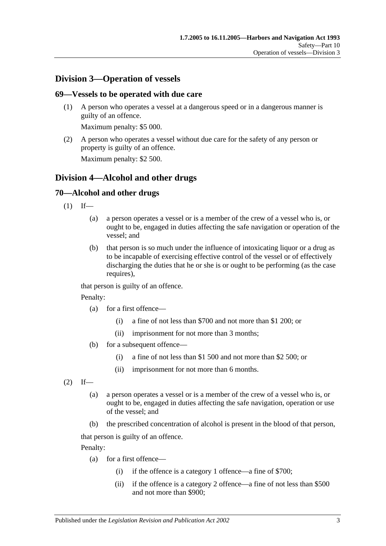# **Division 3—Operation of vessels**

#### **69—Vessels to be operated with due care**

(1) A person who operates a vessel at a dangerous speed or in a dangerous manner is guilty of an offence.

Maximum penalty: \$5 000.

(2) A person who operates a vessel without due care for the safety of any person or property is guilty of an offence.

Maximum penalty: \$2 500.

## **Division 4—Alcohol and other drugs**

### **70—Alcohol and other drugs**

- $(1)$  If—
	- (a) a person operates a vessel or is a member of the crew of a vessel who is, or ought to be, engaged in duties affecting the safe navigation or operation of the vessel; and
	- (b) that person is so much under the influence of intoxicating liquor or a drug as to be incapable of exercising effective control of the vessel or of effectively discharging the duties that he or she is or ought to be performing (as the case requires),

that person is guilty of an offence.

Penalty:

- (a) for a first offence—
	- (i) a fine of not less than \$700 and not more than \$1 200; or
	- (ii) imprisonment for not more than 3 months;
- (b) for a subsequent offence—
	- (i) a fine of not less than \$1 500 and not more than \$2 500; or
	- (ii) imprisonment for not more than 6 months.

<span id="page-48-0"></span> $(2)$  If—

- (a) a person operates a vessel or is a member of the crew of a vessel who is, or ought to be, engaged in duties affecting the safe navigation, operation or use of the vessel; and
- (b) the prescribed concentration of alcohol is present in the blood of that person,

that person is guilty of an offence.

Penalty:

- (a) for a first offence—
	- (i) if the offence is a category 1 offence—a fine of \$700;
	- (ii) if the offence is a category 2 offence—a fine of not less than \$500 and not more than \$900;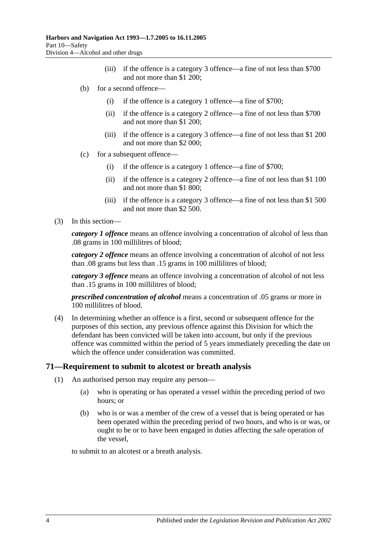- (iii) if the offence is a category 3 offence—a fine of not less than \$700 and not more than \$1 200;
- (b) for a second offence—
	- (i) if the offence is a category 1 offence—a fine of \$700;
	- (ii) if the offence is a category 2 offence—a fine of not less than \$700 and not more than \$1 200;
	- (iii) if the offence is a category 3 offence—a fine of not less than \$1 200 and not more than \$2 000;
- (c) for a subsequent offence—
	- (i) if the offence is a category 1 offence—a fine of \$700;
	- (ii) if the offence is a category 2 offence—a fine of not less than \$1 100 and not more than \$1 800;
	- (iii) if the offence is a category 3 offence—a fine of not less than \$1 500 and not more than \$2 500.
- (3) In this section—

*category 1 offence* means an offence involving a concentration of alcohol of less than .08 grams in 100 millilitres of blood;

*category 2 offence* means an offence involving a concentration of alcohol of not less than .08 grams but less than .15 grams in 100 millilitres of blood;

*category 3 offence* means an offence involving a concentration of alcohol of not less than .15 grams in 100 millilitres of blood;

*prescribed concentration of alcohol* means a concentration of .05 grams or more in 100 millilitres of blood.

(4) In determining whether an offence is a first, second or subsequent offence for the purposes of this section, any previous offence against this Division for which the defendant has been convicted will be taken into account, but only if the previous offence was committed within the period of 5 years immediately preceding the date on which the offence under consideration was committed.

### <span id="page-49-0"></span>**71—Requirement to submit to alcotest or breath analysis**

- (1) An authorised person may require any person—
	- (a) who is operating or has operated a vessel within the preceding period of two hours; or
	- (b) who is or was a member of the crew of a vessel that is being operated or has been operated within the preceding period of two hours, and who is or was, or ought to be or to have been engaged in duties affecting the safe operation of the vessel,

to submit to an alcotest or a breath analysis.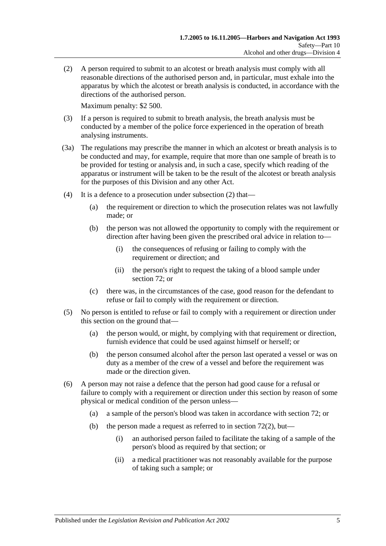<span id="page-50-0"></span>(2) A person required to submit to an alcotest or breath analysis must comply with all reasonable directions of the authorised person and, in particular, must exhale into the apparatus by which the alcotest or breath analysis is conducted, in accordance with the directions of the authorised person.

Maximum penalty: \$2 500.

- (3) If a person is required to submit to breath analysis, the breath analysis must be conducted by a member of the police force experienced in the operation of breath analysing instruments.
- (3a) The regulations may prescribe the manner in which an alcotest or breath analysis is to be conducted and may, for example, require that more than one sample of breath is to be provided for testing or analysis and, in such a case, specify which reading of the apparatus or instrument will be taken to be the result of the alcotest or breath analysis for the purposes of this Division and any other Act.
- (4) It is a defence to a prosecution under [subsection](#page-50-0) (2) that—
	- (a) the requirement or direction to which the prosecution relates was not lawfully made; or
	- (b) the person was not allowed the opportunity to comply with the requirement or direction after having been given the prescribed oral advice in relation to—
		- (i) the consequences of refusing or failing to comply with the requirement or direction; and
		- (ii) the person's right to request the taking of a blood sample under [section](#page-51-0) 72; or
	- (c) there was, in the circumstances of the case, good reason for the defendant to refuse or fail to comply with the requirement or direction.
- (5) No person is entitled to refuse or fail to comply with a requirement or direction under this section on the ground that—
	- (a) the person would, or might, by complying with that requirement or direction, furnish evidence that could be used against himself or herself; or
	- (b) the person consumed alcohol after the person last operated a vessel or was on duty as a member of the crew of a vessel and before the requirement was made or the direction given.
- (6) A person may not raise a defence that the person had good cause for a refusal or failure to comply with a requirement or direction under this section by reason of some physical or medical condition of the person unless—
	- (a) a sample of the person's blood was taken in accordance with [section](#page-51-0) 72; or
	- (b) the person made a request as referred to in [section](#page-51-1)  $72(2)$ , but—
		- (i) an authorised person failed to facilitate the taking of a sample of the person's blood as required by that section; or
		- (ii) a medical practitioner was not reasonably available for the purpose of taking such a sample; or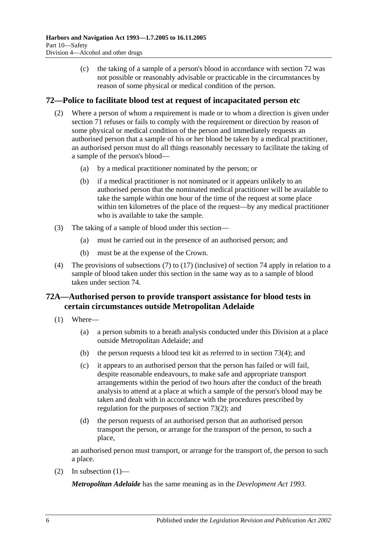(c) the taking of a sample of a person's blood in accordance with [section](#page-51-0) 72 was not possible or reasonably advisable or practicable in the circumstances by reason of some physical or medical condition of the person.

### <span id="page-51-1"></span><span id="page-51-0"></span>**72—Police to facilitate blood test at request of incapacitated person etc**

- (2) Where a person of whom a requirement is made or to whom a direction is given under [section](#page-49-0) 71 refuses or fails to comply with the requirement or direction by reason of some physical or medical condition of the person and immediately requests an authorised person that a sample of his or her blood be taken by a medical practitioner, an authorised person must do all things reasonably necessary to facilitate the taking of a sample of the person's blood—
	- (a) by a medical practitioner nominated by the person; or
	- (b) if a medical practitioner is not nominated or it appears unlikely to an authorised person that the nominated medical practitioner will be available to take the sample within one hour of the time of the request at some place within ten kilometres of the place of the request—by any medical practitioner who is available to take the sample.
- (3) The taking of a sample of blood under this section—
	- (a) must be carried out in the presence of an authorised person; and
	- (b) must be at the expense of the Crown.
- (4) The provisions of [subsections](#page-55-0) (7) to [\(17\)](#page-57-0) (inclusive) of [section](#page-55-1) 74 apply in relation to a sample of blood taken under this section in the same way as to a sample of blood taken under [section](#page-55-1) 74.

## **72A—Authorised person to provide transport assistance for blood tests in certain circumstances outside Metropolitan Adelaide**

- <span id="page-51-2"></span>(1) Where—
	- (a) a person submits to a breath analysis conducted under this Division at a place outside Metropolitan Adelaide; and
	- (b) the person requests a blood test kit as referred to in [section](#page-53-0) 73(4); and
	- (c) it appears to an authorised person that the person has failed or will fail, despite reasonable endeavours, to make safe and appropriate transport arrangements within the period of two hours after the conduct of the breath analysis to attend at a place at which a sample of the person's blood may be taken and dealt with in accordance with the procedures prescribed by regulation for the purposes of [section](#page-52-0) 73(2); and
	- (d) the person requests of an authorised person that an authorised person transport the person, or arrange for the transport of the person, to such a place,

an authorised person must transport, or arrange for the transport of, the person to such a place.

(2) In [subsection](#page-51-2)  $(1)$ —

*Metropolitan Adelaide* has the same meaning as in the *[Development Act](http://www.legislation.sa.gov.au/index.aspx?action=legref&type=act&legtitle=Development%20Act%201993) 1993*.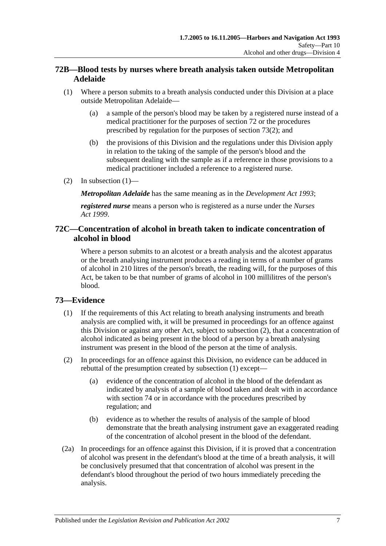## **72B—Blood tests by nurses where breath analysis taken outside Metropolitan Adelaide**

- <span id="page-52-1"></span>(1) Where a person submits to a breath analysis conducted under this Division at a place outside Metropolitan Adelaide—
	- (a) a sample of the person's blood may be taken by a registered nurse instead of a medical practitioner for the purposes of [section](#page-51-0) 72 or the procedures prescribed by regulation for the purposes of [section](#page-52-0) 73(2); and
	- (b) the provisions of this Division and the regulations under this Division apply in relation to the taking of the sample of the person's blood and the subsequent dealing with the sample as if a reference in those provisions to a medical practitioner included a reference to a registered nurse.
- (2) In [subsection](#page-52-1)  $(1)$ —

*Metropolitan Adelaide* has the same meaning as in the *[Development Act](http://www.legislation.sa.gov.au/index.aspx?action=legref&type=act&legtitle=Development%20Act%201993) 1993*;

*registered nurse* means a person who is registered as a nurse under the *[Nurses](http://www.legislation.sa.gov.au/index.aspx?action=legref&type=act&legtitle=Nurses%20Act%201999)  Act [1999](http://www.legislation.sa.gov.au/index.aspx?action=legref&type=act&legtitle=Nurses%20Act%201999)*.

### **72C—Concentration of alcohol in breath taken to indicate concentration of alcohol in blood**

Where a person submits to an alcotest or a breath analysis and the alcotest apparatus or the breath analysing instrument produces a reading in terms of a number of grams of alcohol in 210 litres of the person's breath, the reading will, for the purposes of this Act, be taken to be that number of grams of alcohol in 100 millilitres of the person's blood.

## <span id="page-52-2"></span>**73—Evidence**

- (1) If the requirements of this Act relating to breath analysing instruments and breath analysis are complied with, it will be presumed in proceedings for an offence against this Division or against any other Act, subject to [subsection](#page-52-0) (2), that a concentration of alcohol indicated as being present in the blood of a person by a breath analysing instrument was present in the blood of the person at the time of analysis.
- <span id="page-52-0"></span>(2) In proceedings for an offence against this Division, no evidence can be adduced in rebuttal of the presumption created by [subsection](#page-52-2) (1) except—
	- (a) evidence of the concentration of alcohol in the blood of the defendant as indicated by analysis of a sample of blood taken and dealt with in accordance with [section](#page-55-1) 74 or in accordance with the procedures prescribed by regulation; and
	- (b) evidence as to whether the results of analysis of the sample of blood demonstrate that the breath analysing instrument gave an exaggerated reading of the concentration of alcohol present in the blood of the defendant.
- (2a) In proceedings for an offence against this Division, if it is proved that a concentration of alcohol was present in the defendant's blood at the time of a breath analysis, it will be conclusively presumed that that concentration of alcohol was present in the defendant's blood throughout the period of two hours immediately preceding the analysis.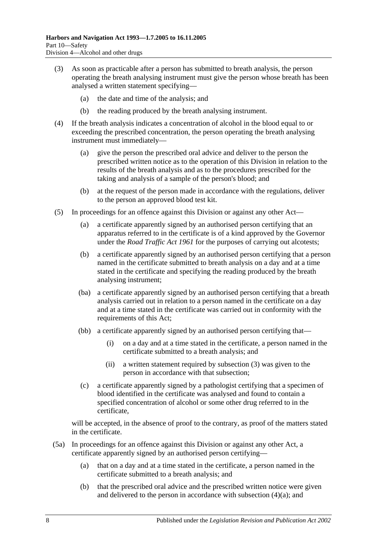- <span id="page-53-1"></span>(3) As soon as practicable after a person has submitted to breath analysis, the person operating the breath analysing instrument must give the person whose breath has been analysed a written statement specifying—
	- (a) the date and time of the analysis; and
	- (b) the reading produced by the breath analysing instrument.
- <span id="page-53-2"></span><span id="page-53-0"></span>(4) If the breath analysis indicates a concentration of alcohol in the blood equal to or exceeding the prescribed concentration, the person operating the breath analysing instrument must immediately—
	- (a) give the person the prescribed oral advice and deliver to the person the prescribed written notice as to the operation of this Division in relation to the results of the breath analysis and as to the procedures prescribed for the taking and analysis of a sample of the person's blood; and
	- (b) at the request of the person made in accordance with the regulations, deliver to the person an approved blood test kit.
- <span id="page-53-3"></span>(5) In proceedings for an offence against this Division or against any other Act—
	- (a) a certificate apparently signed by an authorised person certifying that an apparatus referred to in the certificate is of a kind approved by the Governor under the *[Road Traffic Act](http://www.legislation.sa.gov.au/index.aspx?action=legref&type=act&legtitle=Road%20Traffic%20Act%201961) 1961* for the purposes of carrying out alcotests;
	- (b) a certificate apparently signed by an authorised person certifying that a person named in the certificate submitted to breath analysis on a day and at a time stated in the certificate and specifying the reading produced by the breath analysing instrument;
	- (ba) a certificate apparently signed by an authorised person certifying that a breath analysis carried out in relation to a person named in the certificate on a day and at a time stated in the certificate was carried out in conformity with the requirements of this Act;
	- (bb) a certificate apparently signed by an authorised person certifying that—
		- (i) on a day and at a time stated in the certificate, a person named in the certificate submitted to a breath analysis; and
		- (ii) a written statement required by [subsection](#page-53-1) (3) was given to the person in accordance with that subsection;
	- (c) a certificate apparently signed by a pathologist certifying that a specimen of blood identified in the certificate was analysed and found to contain a specified concentration of alcohol or some other drug referred to in the certificate,

will be accepted, in the absence of proof to the contrary, as proof of the matters stated in the certificate.

- (5a) In proceedings for an offence against this Division or against any other Act, a certificate apparently signed by an authorised person certifying—
	- (a) that on a day and at a time stated in the certificate, a person named in the certificate submitted to a breath analysis; and
	- (b) that the prescribed oral advice and the prescribed written notice were given and delivered to the person in accordance with [subsection](#page-53-2) (4)(a); and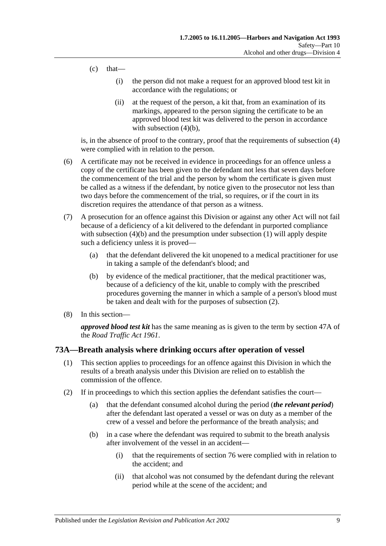- $(c)$  that—
	- (i) the person did not make a request for an approved blood test kit in accordance with the regulations; or
	- (ii) at the request of the person, a kit that, from an examination of its markings, appeared to the person signing the certificate to be an approved blood test kit was delivered to the person in accordance with [subsection](#page-53-3)  $(4)(b)$ ,

is, in the absence of proof to the contrary, proof that the requirements of [subsection](#page-53-0) (4) were complied with in relation to the person.

- (6) A certificate may not be received in evidence in proceedings for an offence unless a copy of the certificate has been given to the defendant not less that seven days before the commencement of the trial and the person by whom the certificate is given must be called as a witness if the defendant, by notice given to the prosecutor not less than two days before the commencement of the trial, so requires, or if the court in its discretion requires the attendance of that person as a witness.
- (7) A prosecution for an offence against this Division or against any other Act will not fail because of a deficiency of a kit delivered to the defendant in purported compliance with [subsection](#page-52-2) (4)(b) and the presumption under subsection (1) will apply despite such a deficiency unless it is proved—
	- (a) that the defendant delivered the kit unopened to a medical practitioner for use in taking a sample of the defendant's blood; and
	- (b) by evidence of the medical practitioner, that the medical practitioner was, because of a deficiency of the kit, unable to comply with the prescribed procedures governing the manner in which a sample of a person's blood must be taken and dealt with for the purposes of [subsection](#page-52-0) (2).
- (8) In this section—

*approved blood test kit* has the same meaning as is given to the term by section 47A of the *[Road Traffic Act](http://www.legislation.sa.gov.au/index.aspx?action=legref&type=act&legtitle=Road%20Traffic%20Act%201961) 1961*.

### **73A—Breath analysis where drinking occurs after operation of vessel**

- (1) This section applies to proceedings for an offence against this Division in which the results of a breath analysis under this Division are relied on to establish the commission of the offence.
- (2) If in proceedings to which this section applies the defendant satisfies the court—
	- (a) that the defendant consumed alcohol during the period (*the relevant period*) after the defendant last operated a vessel or was on duty as a member of the crew of a vessel and before the performance of the breath analysis; and
	- (b) in a case where the defendant was required to submit to the breath analysis after involvement of the vessel in an accident—
		- (i) that the requirements of [section](#page-60-0) 76 were complied with in relation to the accident; and
		- (ii) that alcohol was not consumed by the defendant during the relevant period while at the scene of the accident; and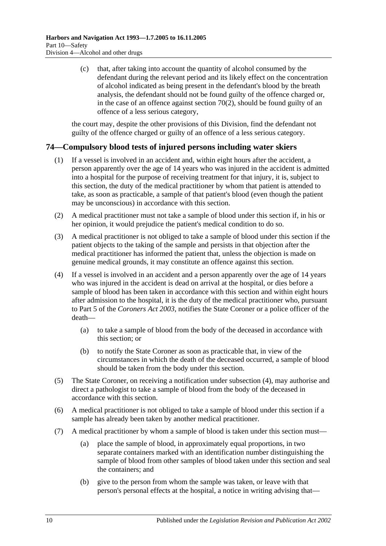(c) that, after taking into account the quantity of alcohol consumed by the defendant during the relevant period and its likely effect on the concentration of alcohol indicated as being present in the defendant's blood by the breath analysis, the defendant should not be found guilty of the offence charged or, in the case of an offence against [section](#page-48-0)  $70(2)$ , should be found guilty of an offence of a less serious category,

the court may, despite the other provisions of this Division, find the defendant not guilty of the offence charged or guilty of an offence of a less serious category.

## <span id="page-55-1"></span>**74—Compulsory blood tests of injured persons including water skiers**

- (1) If a vessel is involved in an accident and, within eight hours after the accident, a person apparently over the age of 14 years who was injured in the accident is admitted into a hospital for the purpose of receiving treatment for that injury, it is, subject to this section, the duty of the medical practitioner by whom that patient is attended to take, as soon as practicable, a sample of that patient's blood (even though the patient may be unconscious) in accordance with this section.
- (2) A medical practitioner must not take a sample of blood under this section if, in his or her opinion, it would prejudice the patient's medical condition to do so.
- (3) A medical practitioner is not obliged to take a sample of blood under this section if the patient objects to the taking of the sample and persists in that objection after the medical practitioner has informed the patient that, unless the objection is made on genuine medical grounds, it may constitute an offence against this section.
- (4) If a vessel is involved in an accident and a person apparently over the age of 14 years who was injured in the accident is dead on arrival at the hospital, or dies before a sample of blood has been taken in accordance with this section and within eight hours after admission to the hospital, it is the duty of the medical practitioner who, pursuant to Part 5 of the *[Coroners Act](http://www.legislation.sa.gov.au/index.aspx?action=legref&type=act&legtitle=Coroners%20Act%202003) 2003*, notifies the State Coroner or a police officer of the death—
	- (a) to take a sample of blood from the body of the deceased in accordance with this section; or
	- (b) to notify the State Coroner as soon as practicable that, in view of the circumstances in which the death of the deceased occurred, a sample of blood should be taken from the body under this section.
- (5) The State Coroner, on receiving a notification under subsection (4), may authorise and direct a pathologist to take a sample of blood from the body of the deceased in accordance with this section.
- (6) A medical practitioner is not obliged to take a sample of blood under this section if a sample has already been taken by another medical practitioner.
- <span id="page-55-0"></span>(7) A medical practitioner by whom a sample of blood is taken under this section must—
	- (a) place the sample of blood, in approximately equal proportions, in two separate containers marked with an identification number distinguishing the sample of blood from other samples of blood taken under this section and seal the containers; and
	- (b) give to the person from whom the sample was taken, or leave with that person's personal effects at the hospital, a notice in writing advising that—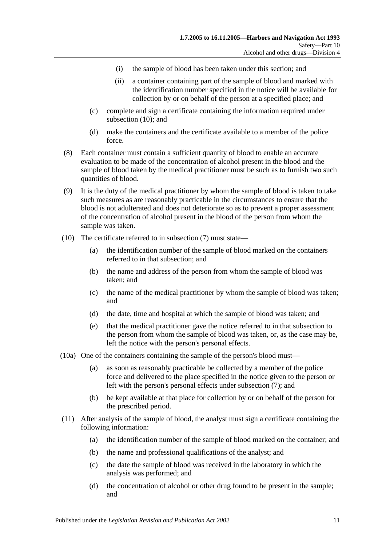- (i) the sample of blood has been taken under this section; and
- (ii) a container containing part of the sample of blood and marked with the identification number specified in the notice will be available for collection by or on behalf of the person at a specified place; and
- (c) complete and sign a certificate containing the information required under [subsection](#page-56-0) (10); and
- (d) make the containers and the certificate available to a member of the police force.
- (8) Each container must contain a sufficient quantity of blood to enable an accurate evaluation to be made of the concentration of alcohol present in the blood and the sample of blood taken by the medical practitioner must be such as to furnish two such quantities of blood.
- (9) It is the duty of the medical practitioner by whom the sample of blood is taken to take such measures as are reasonably practicable in the circumstances to ensure that the blood is not adulterated and does not deteriorate so as to prevent a proper assessment of the concentration of alcohol present in the blood of the person from whom the sample was taken.
- <span id="page-56-0"></span>(10) The certificate referred to in [subsection](#page-55-0) (7) must state—
	- (a) the identification number of the sample of blood marked on the containers referred to in that subsection; and
	- (b) the name and address of the person from whom the sample of blood was taken; and
	- (c) the name of the medical practitioner by whom the sample of blood was taken; and
	- (d) the date, time and hospital at which the sample of blood was taken; and
	- (e) that the medical practitioner gave the notice referred to in that subsection to the person from whom the sample of blood was taken, or, as the case may be, left the notice with the person's personal effects.
- (10a) One of the containers containing the sample of the person's blood must—
	- (a) as soon as reasonably practicable be collected by a member of the police force and delivered to the place specified in the notice given to the person or left with the person's personal effects under [subsection](#page-55-0) (7); and
	- (b) be kept available at that place for collection by or on behalf of the person for the prescribed period.
- (11) After analysis of the sample of blood, the analyst must sign a certificate containing the following information:
	- (a) the identification number of the sample of blood marked on the container; and
	- (b) the name and professional qualifications of the analyst; and
	- (c) the date the sample of blood was received in the laboratory in which the analysis was performed; and
	- (d) the concentration of alcohol or other drug found to be present in the sample; and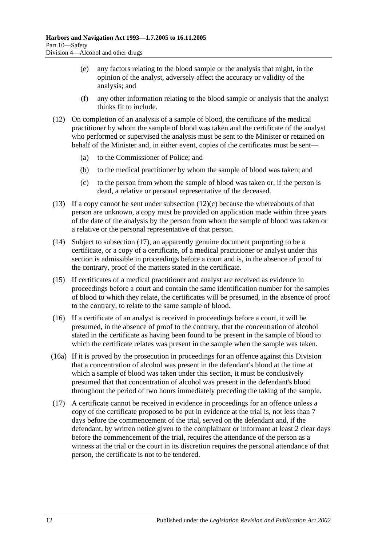- (e) any factors relating to the blood sample or the analysis that might, in the opinion of the analyst, adversely affect the accuracy or validity of the analysis; and
- (f) any other information relating to the blood sample or analysis that the analyst thinks fit to include.
- (12) On completion of an analysis of a sample of blood, the certificate of the medical practitioner by whom the sample of blood was taken and the certificate of the analyst who performed or supervised the analysis must be sent to the Minister or retained on behalf of the Minister and, in either event, copies of the certificates must be sent—
	- (a) to the Commissioner of Police; and
	- (b) to the medical practitioner by whom the sample of blood was taken; and
	- (c) to the person from whom the sample of blood was taken or, if the person is dead, a relative or personal representative of the deceased.
- <span id="page-57-1"></span>(13) If a copy cannot be sent under [subsection](#page-57-1)  $(12)(c)$  because the whereabouts of that person are unknown, a copy must be provided on application made within three years of the date of the analysis by the person from whom the sample of blood was taken or a relative or the personal representative of that person.
- (14) Subject to [subsection](#page-57-0) (17), an apparently genuine document purporting to be a certificate, or a copy of a certificate, of a medical practitioner or analyst under this section is admissible in proceedings before a court and is, in the absence of proof to the contrary, proof of the matters stated in the certificate.
- (15) If certificates of a medical practitioner and analyst are received as evidence in proceedings before a court and contain the same identification number for the samples of blood to which they relate, the certificates will be presumed, in the absence of proof to the contrary, to relate to the same sample of blood.
- (16) If a certificate of an analyst is received in proceedings before a court, it will be presumed, in the absence of proof to the contrary, that the concentration of alcohol stated in the certificate as having been found to be present in the sample of blood to which the certificate relates was present in the sample when the sample was taken.
- (16a) If it is proved by the prosecution in proceedings for an offence against this Division that a concentration of alcohol was present in the defendant's blood at the time at which a sample of blood was taken under this section, it must be conclusively presumed that that concentration of alcohol was present in the defendant's blood throughout the period of two hours immediately preceding the taking of the sample.
- <span id="page-57-0"></span>(17) A certificate cannot be received in evidence in proceedings for an offence unless a copy of the certificate proposed to be put in evidence at the trial is, not less than 7 days before the commencement of the trial, served on the defendant and, if the defendant, by written notice given to the complainant or informant at least 2 clear days before the commencement of the trial, requires the attendance of the person as a witness at the trial or the court in its discretion requires the personal attendance of that person, the certificate is not to be tendered.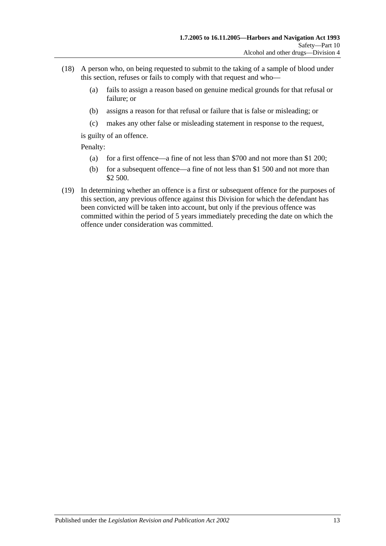- (18) A person who, on being requested to submit to the taking of a sample of blood under this section, refuses or fails to comply with that request and who—
	- (a) fails to assign a reason based on genuine medical grounds for that refusal or failure; or
	- (b) assigns a reason for that refusal or failure that is false or misleading; or
	- (c) makes any other false or misleading statement in response to the request,

is guilty of an offence.

Penalty:

- (a) for a first offence—a fine of not less than \$700 and not more than \$1 200;
- (b) for a subsequent offence—a fine of not less than \$1 500 and not more than \$2 500.
- (19) In determining whether an offence is a first or subsequent offence for the purposes of this section, any previous offence against this Division for which the defendant has been convicted will be taken into account, but only if the previous offence was committed within the period of 5 years immediately preceding the date on which the offence under consideration was committed.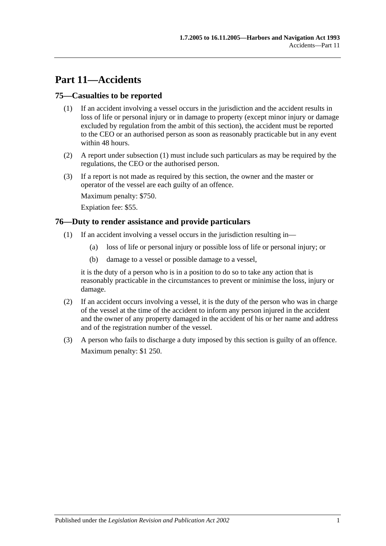# **Part 11—Accidents**

### <span id="page-60-1"></span>**75—Casualties to be reported**

- (1) If an accident involving a vessel occurs in the jurisdiction and the accident results in loss of life or personal injury or in damage to property (except minor injury or damage excluded by regulation from the ambit of this section), the accident must be reported to the CEO or an authorised person as soon as reasonably practicable but in any event within 48 hours.
- (2) A report under [subsection](#page-60-1) (1) must include such particulars as may be required by the regulations, the CEO or the authorised person.
- (3) If a report is not made as required by this section, the owner and the master or operator of the vessel are each guilty of an offence.

Maximum penalty: \$750.

Expiation fee: \$55.

### <span id="page-60-0"></span>**76—Duty to render assistance and provide particulars**

- (1) If an accident involving a vessel occurs in the jurisdiction resulting in—
	- (a) loss of life or personal injury or possible loss of life or personal injury; or
	- (b) damage to a vessel or possible damage to a vessel,

it is the duty of a person who is in a position to do so to take any action that is reasonably practicable in the circumstances to prevent or minimise the loss, injury or damage.

- (2) If an accident occurs involving a vessel, it is the duty of the person who was in charge of the vessel at the time of the accident to inform any person injured in the accident and the owner of any property damaged in the accident of his or her name and address and of the registration number of the vessel.
- (3) A person who fails to discharge a duty imposed by this section is guilty of an offence. Maximum penalty: \$1 250.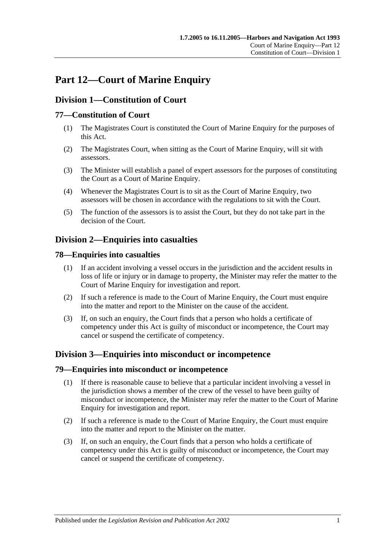# **Part 12—Court of Marine Enquiry**

# **Division 1—Constitution of Court**

## **77—Constitution of Court**

- (1) The Magistrates Court is constituted the Court of Marine Enquiry for the purposes of this Act.
- (2) The Magistrates Court, when sitting as the Court of Marine Enquiry, will sit with assessors.
- (3) The Minister will establish a panel of expert assessors for the purposes of constituting the Court as a Court of Marine Enquiry.
- (4) Whenever the Magistrates Court is to sit as the Court of Marine Enquiry, two assessors will be chosen in accordance with the regulations to sit with the Court.
- (5) The function of the assessors is to assist the Court, but they do not take part in the decision of the Court.

# **Division 2—Enquiries into casualties**

### **78—Enquiries into casualties**

- (1) If an accident involving a vessel occurs in the jurisdiction and the accident results in loss of life or injury or in damage to property, the Minister may refer the matter to the Court of Marine Enquiry for investigation and report.
- (2) If such a reference is made to the Court of Marine Enquiry, the Court must enquire into the matter and report to the Minister on the cause of the accident.
- (3) If, on such an enquiry, the Court finds that a person who holds a certificate of competency under this Act is guilty of misconduct or incompetence, the Court may cancel or suspend the certificate of competency.

## **Division 3—Enquiries into misconduct or incompetence**

#### **79—Enquiries into misconduct or incompetence**

- (1) If there is reasonable cause to believe that a particular incident involving a vessel in the jurisdiction shows a member of the crew of the vessel to have been guilty of misconduct or incompetence, the Minister may refer the matter to the Court of Marine Enquiry for investigation and report.
- (2) If such a reference is made to the Court of Marine Enquiry, the Court must enquire into the matter and report to the Minister on the matter.
- (3) If, on such an enquiry, the Court finds that a person who holds a certificate of competency under this Act is guilty of misconduct or incompetence, the Court may cancel or suspend the certificate of competency.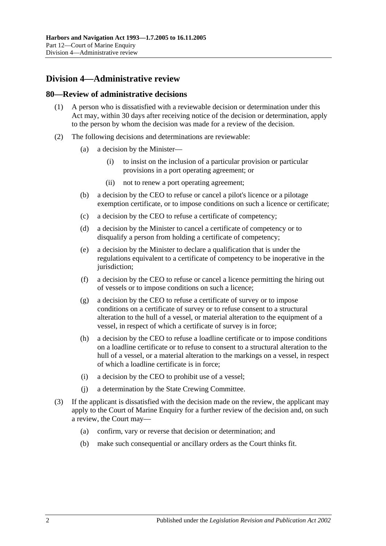# **Division 4—Administrative review**

#### **80—Review of administrative decisions**

- (1) A person who is dissatisfied with a reviewable decision or determination under this Act may, within 30 days after receiving notice of the decision or determination, apply to the person by whom the decision was made for a review of the decision.
- (2) The following decisions and determinations are reviewable:
	- (a) a decision by the Minister—
		- (i) to insist on the inclusion of a particular provision or particular provisions in a port operating agreement; or
		- (ii) not to renew a port operating agreement;
	- (b) a decision by the CEO to refuse or cancel a pilot's licence or a pilotage exemption certificate, or to impose conditions on such a licence or certificate;
	- (c) a decision by the CEO to refuse a certificate of competency;
	- (d) a decision by the Minister to cancel a certificate of competency or to disqualify a person from holding a certificate of competency;
	- (e) a decision by the Minister to declare a qualification that is under the regulations equivalent to a certificate of competency to be inoperative in the jurisdiction:
	- (f) a decision by the CEO to refuse or cancel a licence permitting the hiring out of vessels or to impose conditions on such a licence;
	- (g) a decision by the CEO to refuse a certificate of survey or to impose conditions on a certificate of survey or to refuse consent to a structural alteration to the hull of a vessel, or material alteration to the equipment of a vessel, in respect of which a certificate of survey is in force;
	- (h) a decision by the CEO to refuse a loadline certificate or to impose conditions on a loadline certificate or to refuse to consent to a structural alteration to the hull of a vessel, or a material alteration to the markings on a vessel, in respect of which a loadline certificate is in force;
	- (i) a decision by the CEO to prohibit use of a vessel;
	- (j) a determination by the State Crewing Committee.
- (3) If the applicant is dissatisfied with the decision made on the review, the applicant may apply to the Court of Marine Enquiry for a further review of the decision and, on such a review, the Court may—
	- (a) confirm, vary or reverse that decision or determination; and
	- (b) make such consequential or ancillary orders as the Court thinks fit.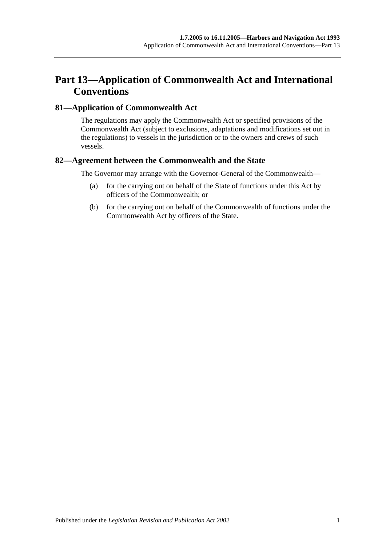# **Part 13—Application of Commonwealth Act and International Conventions**

### **81—Application of Commonwealth Act**

The regulations may apply the Commonwealth Act or specified provisions of the Commonwealth Act (subject to exclusions, adaptations and modifications set out in the regulations) to vessels in the jurisdiction or to the owners and crews of such vessels.

### **82—Agreement between the Commonwealth and the State**

The Governor may arrange with the Governor-General of the Commonwealth—

- (a) for the carrying out on behalf of the State of functions under this Act by officers of the Commonwealth; or
- (b) for the carrying out on behalf of the Commonwealth of functions under the Commonwealth Act by officers of the State.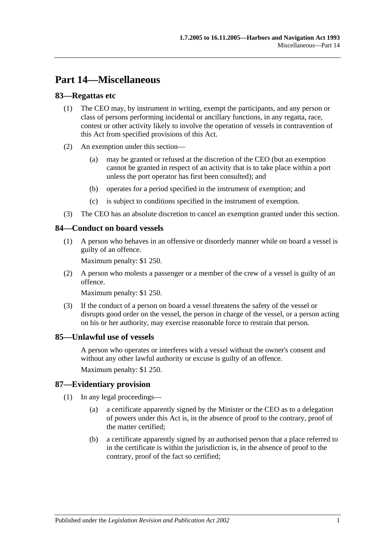# **Part 14—Miscellaneous**

### **83—Regattas etc**

- (1) The CEO may, by instrument in writing, exempt the participants, and any person or class of persons performing incidental or ancillary functions, in any regatta, race, contest or other activity likely to involve the operation of vessels in contravention of this Act from specified provisions of this Act.
- (2) An exemption under this section—
	- (a) may be granted or refused at the discretion of the CEO (but an exemption cannot be granted in respect of an activity that is to take place within a port unless the port operator has first been consulted); and
	- (b) operates for a period specified in the instrument of exemption; and
	- (c) is subject to conditions specified in the instrument of exemption.
- (3) The CEO has an absolute discretion to cancel an exemption granted under this section.

#### **84—Conduct on board vessels**

(1) A person who behaves in an offensive or disorderly manner while on board a vessel is guilty of an offence.

Maximum penalty: \$1 250.

(2) A person who molests a passenger or a member of the crew of a vessel is guilty of an offence.

Maximum penalty: \$1 250.

(3) If the conduct of a person on board a vessel threatens the safety of the vessel or disrupts good order on the vessel, the person in charge of the vessel, or a person acting on his or her authority, may exercise reasonable force to restrain that person.

#### **85—Unlawful use of vessels**

A person who operates or interferes with a vessel without the owner's consent and without any other lawful authority or excuse is guilty of an offence.

Maximum penalty: \$1 250.

#### **87—Evidentiary provision**

- (1) In any legal proceedings—
	- (a) a certificate apparently signed by the Minister or the CEO as to a delegation of powers under this Act is, in the absence of proof to the contrary, proof of the matter certified;
	- (b) a certificate apparently signed by an authorised person that a place referred to in the certificate is within the jurisdiction is, in the absence of proof to the contrary, proof of the fact so certified;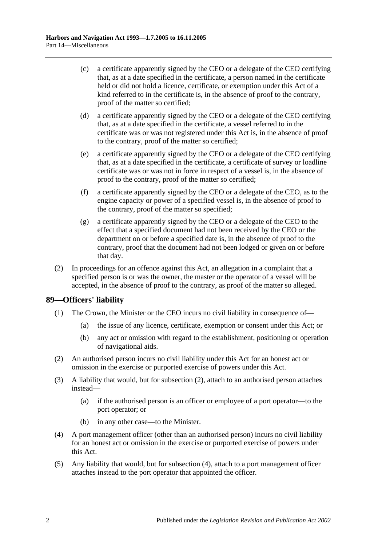- (c) a certificate apparently signed by the CEO or a delegate of the CEO certifying that, as at a date specified in the certificate, a person named in the certificate held or did not hold a licence, certificate, or exemption under this Act of a kind referred to in the certificate is, in the absence of proof to the contrary, proof of the matter so certified;
- (d) a certificate apparently signed by the CEO or a delegate of the CEO certifying that, as at a date specified in the certificate, a vessel referred to in the certificate was or was not registered under this Act is, in the absence of proof to the contrary, proof of the matter so certified;
- (e) a certificate apparently signed by the CEO or a delegate of the CEO certifying that, as at a date specified in the certificate, a certificate of survey or loadline certificate was or was not in force in respect of a vessel is, in the absence of proof to the contrary, proof of the matter so certified;
- (f) a certificate apparently signed by the CEO or a delegate of the CEO, as to the engine capacity or power of a specified vessel is, in the absence of proof to the contrary, proof of the matter so specified;
- (g) a certificate apparently signed by the CEO or a delegate of the CEO to the effect that a specified document had not been received by the CEO or the department on or before a specified date is, in the absence of proof to the contrary, proof that the document had not been lodged or given on or before that day.
- (2) In proceedings for an offence against this Act, an allegation in a complaint that a specified person is or was the owner, the master or the operator of a vessel will be accepted, in the absence of proof to the contrary, as proof of the matter so alleged.

### **89—Officers' liability**

- (1) The Crown, the Minister or the CEO incurs no civil liability in consequence of—
	- (a) the issue of any licence, certificate, exemption or consent under this Act; or
	- (b) any act or omission with regard to the establishment, positioning or operation of navigational aids.
- <span id="page-67-0"></span>(2) An authorised person incurs no civil liability under this Act for an honest act or omission in the exercise or purported exercise of powers under this Act.
- (3) A liability that would, but for [subsection](#page-67-0) (2), attach to an authorised person attaches instead—
	- (a) if the authorised person is an officer or employee of a port operator—to the port operator; or
	- (b) in any other case—to the Minister.
- <span id="page-67-1"></span>(4) A port management officer (other than an authorised person) incurs no civil liability for an honest act or omission in the exercise or purported exercise of powers under this Act.
- (5) Any liability that would, but for [subsection](#page-67-1) (4), attach to a port management officer attaches instead to the port operator that appointed the officer.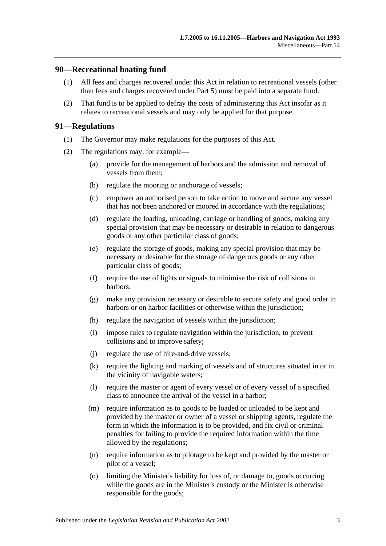#### **90—Recreational boating fund**

- (1) All fees and charges recovered under this Act in relation to recreational vessels (other than fees and charges recovered under [Part 5\)](#page-22-0) must be paid into a separate fund.
- (2) That fund is to be applied to defray the costs of administering this Act insofar as it relates to recreational vessels and may only be applied for that purpose.

#### **91—Regulations**

- (1) The Governor may make regulations for the purposes of this Act.
- (2) The regulations may, for example—
	- (a) provide for the management of harbors and the admission and removal of vessels from them;
	- (b) regulate the mooring or anchorage of vessels;
	- (c) empower an authorised person to take action to move and secure any vessel that has not been anchored or moored in accordance with the regulations;
	- (d) regulate the loading, unloading, carriage or handling of goods, making any special provision that may be necessary or desirable in relation to dangerous goods or any other particular class of goods;
	- (e) regulate the storage of goods, making any special provision that may be necessary or desirable for the storage of dangerous goods or any other particular class of goods;
	- (f) require the use of lights or signals to minimise the risk of collisions in harbors;
	- (g) make any provision necessary or desirable to secure safety and good order in harbors or on harbor facilities or otherwise within the jurisdiction;
	- (h) regulate the navigation of vessels within the jurisdiction;
	- (i) impose rules to regulate navigation within the jurisdiction, to prevent collisions and to improve safety;
	- (j) regulate the use of hire-and-drive vessels;
	- (k) require the lighting and marking of vessels and of structures situated in or in the vicinity of navigable waters;
	- (l) require the master or agent of every vessel or of every vessel of a specified class to announce the arrival of the vessel in a harbor;
	- (m) require information as to goods to be loaded or unloaded to be kept and provided by the master or owner of a vessel or shipping agents, regulate the form in which the information is to be provided, and fix civil or criminal penalties for failing to provide the required information within the time allowed by the regulations;
	- (n) require information as to pilotage to be kept and provided by the master or pilot of a vessel;
	- (o) limiting the Minister's liability for loss of, or damage to, goods occurring while the goods are in the Minister's custody or the Minister is otherwise responsible for the goods;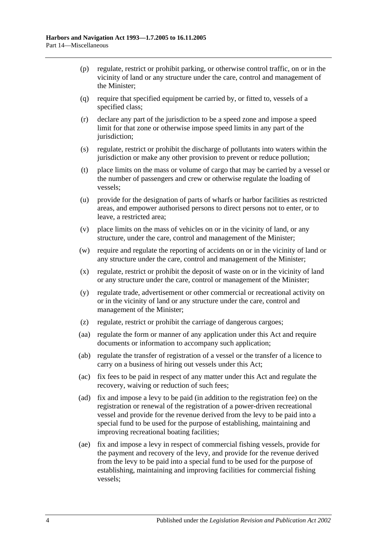- (p) regulate, restrict or prohibit parking, or otherwise control traffic, on or in the vicinity of land or any structure under the care, control and management of the Minister;
- (q) require that specified equipment be carried by, or fitted to, vessels of a specified class;
- (r) declare any part of the jurisdiction to be a speed zone and impose a speed limit for that zone or otherwise impose speed limits in any part of the jurisdiction;
- (s) regulate, restrict or prohibit the discharge of pollutants into waters within the jurisdiction or make any other provision to prevent or reduce pollution;
- (t) place limits on the mass or volume of cargo that may be carried by a vessel or the number of passengers and crew or otherwise regulate the loading of vessels;
- (u) provide for the designation of parts of wharfs or harbor facilities as restricted areas, and empower authorised persons to direct persons not to enter, or to leave, a restricted area;
- (v) place limits on the mass of vehicles on or in the vicinity of land, or any structure, under the care, control and management of the Minister;
- (w) require and regulate the reporting of accidents on or in the vicinity of land or any structure under the care, control and management of the Minister;
- (x) regulate, restrict or prohibit the deposit of waste on or in the vicinity of land or any structure under the care, control or management of the Minister;
- (y) regulate trade, advertisement or other commercial or recreational activity on or in the vicinity of land or any structure under the care, control and management of the Minister;
- (z) regulate, restrict or prohibit the carriage of dangerous cargoes;
- (aa) regulate the form or manner of any application under this Act and require documents or information to accompany such application;
- (ab) regulate the transfer of registration of a vessel or the transfer of a licence to carry on a business of hiring out vessels under this Act;
- (ac) fix fees to be paid in respect of any matter under this Act and regulate the recovery, waiving or reduction of such fees;
- <span id="page-69-0"></span>(ad) fix and impose a levy to be paid (in addition to the registration fee) on the registration or renewal of the registration of a power-driven recreational vessel and provide for the revenue derived from the levy to be paid into a special fund to be used for the purpose of establishing, maintaining and improving recreational boating facilities;
- <span id="page-69-1"></span>(ae) fix and impose a levy in respect of commercial fishing vessels, provide for the payment and recovery of the levy, and provide for the revenue derived from the levy to be paid into a special fund to be used for the purpose of establishing, maintaining and improving facilities for commercial fishing vessels;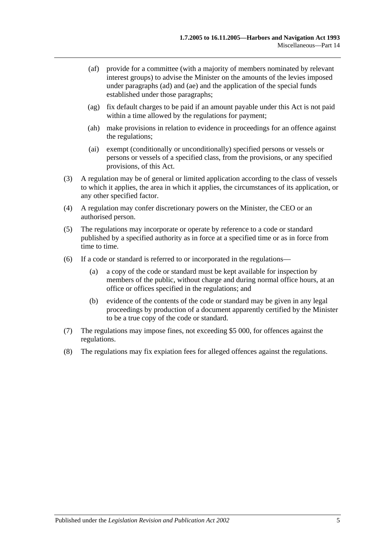- (af) provide for a committee (with a majority of members nominated by relevant interest groups) to advise the Minister on the amounts of the levies imposed under [paragraphs](#page-69-0) (ad) and [\(ae\)](#page-69-1) and the application of the special funds established under those paragraphs;
- (ag) fix default charges to be paid if an amount payable under this Act is not paid within a time allowed by the regulations for payment;
- (ah) make provisions in relation to evidence in proceedings for an offence against the regulations;
- (ai) exempt (conditionally or unconditionally) specified persons or vessels or persons or vessels of a specified class, from the provisions, or any specified provisions, of this Act.
- (3) A regulation may be of general or limited application according to the class of vessels to which it applies, the area in which it applies, the circumstances of its application, or any other specified factor.
- (4) A regulation may confer discretionary powers on the Minister, the CEO or an authorised person.
- (5) The regulations may incorporate or operate by reference to a code or standard published by a specified authority as in force at a specified time or as in force from time to time.
- (6) If a code or standard is referred to or incorporated in the regulations—
	- (a) a copy of the code or standard must be kept available for inspection by members of the public, without charge and during normal office hours, at an office or offices specified in the regulations; and
	- (b) evidence of the contents of the code or standard may be given in any legal proceedings by production of a document apparently certified by the Minister to be a true copy of the code or standard.
- (7) The regulations may impose fines, not exceeding \$5 000, for offences against the regulations.
- (8) The regulations may fix expiation fees for alleged offences against the regulations.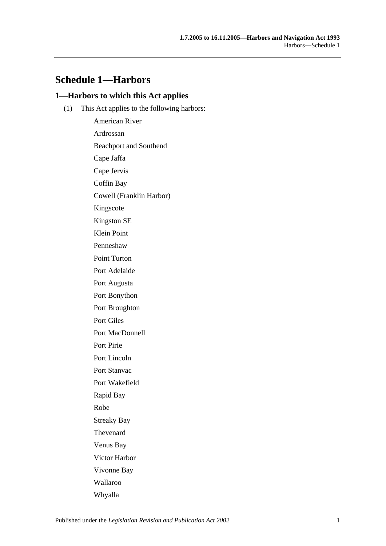## **Schedule 1—Harbors**

## **1—Harbors to which this Act applies**

(1) This Act applies to the following harbors:

American River Ardrossan Beachport and Southend Cape Jaffa Cape Jervis Coffin Bay Cowell (Franklin Harbor) Kingscote Kingston SE Klein Point Penneshaw Point Turton Port Adelaide Port Augusta Port Bonython Port Broughton Port Giles Port MacDonnell Port Pirie Port Lincoln Port Stanvac Port Wakefield Rapid Bay Robe Streaky Bay Thevenard Venus Bay Victor Harbor Vivonne Bay Wallaroo Whyalla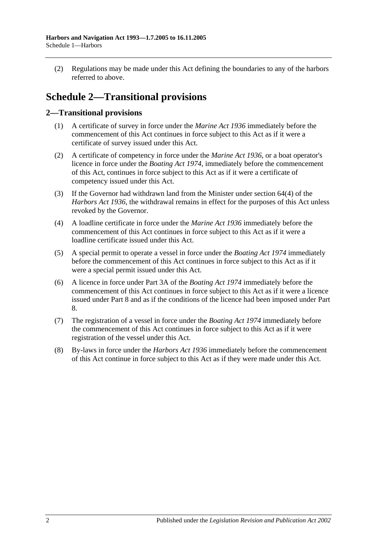(2) Regulations may be made under this Act defining the boundaries to any of the harbors referred to above.

# **Schedule 2—Transitional provisions**

## **2—Transitional provisions**

- (1) A certificate of survey in force under the *[Marine Act](http://www.legislation.sa.gov.au/index.aspx?action=legref&type=act&legtitle=Marine%20Act%201936) 1936* immediately before the commencement of this Act continues in force subject to this Act as if it were a certificate of survey issued under this Act.
- (2) A certificate of competency in force under the *[Marine Act](http://www.legislation.sa.gov.au/index.aspx?action=legref&type=act&legtitle=Marine%20Act%201936) 1936*, or a boat operator's licence in force under the *[Boating Act](http://www.legislation.sa.gov.au/index.aspx?action=legref&type=act&legtitle=Boating%20Act%201974) 1974*, immediately before the commencement of this Act, continues in force subject to this Act as if it were a certificate of competency issued under this Act.
- (3) If the Governor had withdrawn land from the Minister under section 64(4) of the *[Harbors Act](http://www.legislation.sa.gov.au/index.aspx?action=legref&type=act&legtitle=Harbors%20Act%201936) 1936*, the withdrawal remains in effect for the purposes of this Act unless revoked by the Governor.
- (4) A loadline certificate in force under the *[Marine Act](http://www.legislation.sa.gov.au/index.aspx?action=legref&type=act&legtitle=Marine%20Act%201936) 1936* immediately before the commencement of this Act continues in force subject to this Act as if it were a loadline certificate issued under this Act.
- (5) A special permit to operate a vessel in force under the *[Boating Act](http://www.legislation.sa.gov.au/index.aspx?action=legref&type=act&legtitle=Boating%20Act%201974) 1974* immediately before the commencement of this Act continues in force subject to this Act as if it were a special permit issued under this Act.
- (6) A licence in force under Part 3A of the *[Boating Act](http://www.legislation.sa.gov.au/index.aspx?action=legref&type=act&legtitle=Boating%20Act%201974) 1974* immediately before the commencement of this Act continues in force subject to this Act as if it were a licence issued under [Part 8](#page-40-0) and as if the conditions of the licence had been imposed under [Part](#page-40-0)  [8.](#page-40-0)
- (7) The registration of a vessel in force under the *[Boating Act](http://www.legislation.sa.gov.au/index.aspx?action=legref&type=act&legtitle=Boating%20Act%201974) 1974* immediately before the commencement of this Act continues in force subject to this Act as if it were registration of the vessel under this Act.
- (8) By-laws in force under the *[Harbors Act](http://www.legislation.sa.gov.au/index.aspx?action=legref&type=act&legtitle=Harbors%20Act%201936) 1936* immediately before the commencement of this Act continue in force subject to this Act as if they were made under this Act.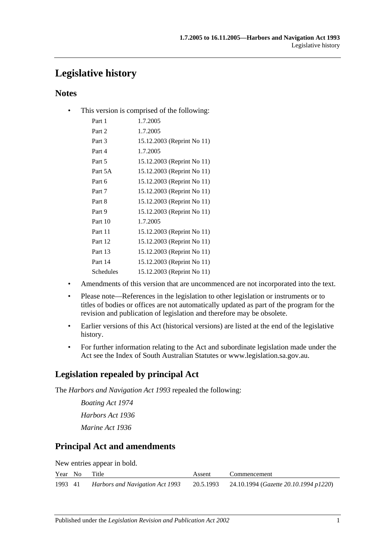# **Legislative history**

## **Notes**

• This version is comprised of the following:

| Part 1    | 1.7.2005                   |
|-----------|----------------------------|
| Part 2    | 1.7.2005                   |
| Part 3    | 15.12.2003 (Reprint No 11) |
| Part 4    | 1.7.2005                   |
| Part 5    | 15.12.2003 (Reprint No 11) |
| Part 5A   | 15.12.2003 (Reprint No 11) |
| Part 6    | 15.12.2003 (Reprint No 11) |
| Part 7    | 15.12.2003 (Reprint No 11) |
| Part 8    | 15.12.2003 (Reprint No 11) |
| Part 9    | 15.12.2003 (Reprint No 11) |
| Part 10   | 1.7.2005                   |
| Part 11   | 15.12.2003 (Reprint No 11) |
| Part 12   | 15.12.2003 (Reprint No 11) |
| Part 13   | 15.12.2003 (Reprint No 11) |
| Part 14   | 15.12.2003 (Reprint No 11) |
| Schedules | 15.12.2003 (Reprint No 11) |

- Amendments of this version that are uncommenced are not incorporated into the text.
- Please note—References in the legislation to other legislation or instruments or to titles of bodies or offices are not automatically updated as part of the program for the revision and publication of legislation and therefore may be obsolete.
- Earlier versions of this Act (historical versions) are listed at the end of the legislative history.
- For further information relating to the Act and subordinate legislation made under the Act see the Index of South Australian Statutes or www.legislation.sa.gov.au.

## **Legislation repealed by principal Act**

The *Harbors and Navigation Act 1993* repealed the following:

*Boating Act 1974 Harbors Act 1936 Marine Act 1936*

## **Principal Act and amendments**

New entries appear in bold.

|         | Year No | Title                           | Assent | Commencement                                    |
|---------|---------|---------------------------------|--------|-------------------------------------------------|
| 1993 41 |         | Harbors and Navigation Act 1993 |        | 20.5.1993 24.10.1994 (Gazette 20.10.1994 p1220) |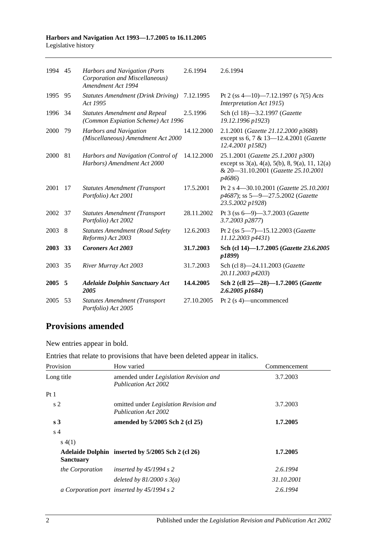#### **Harbors and Navigation Act 1993—1.7.2005 to 16.11.2005** Legislative history

| 1994 45 |    | Harbors and Navigation (Ports<br>Corporation and Miscellaneous)<br>Amendment Act 1994 | 2.6.1994   | 2.6.1994                                                                                                                                                        |
|---------|----|---------------------------------------------------------------------------------------|------------|-----------------------------------------------------------------------------------------------------------------------------------------------------------------|
| 1995 95 |    | <b>Statutes Amendment (Drink Driving)</b><br>Act 1995                                 | 7.12.1995  | Pt 2 (ss 4—10)—7.12.1997 (s 7(5) Acts<br>Interpretation Act 1915)                                                                                               |
| 1996    | 34 | <b>Statutes Amendment and Repeal</b><br>(Common Expiation Scheme) Act 1996            | 2.5.1996   | Sch (cl 18)-3.2.1997 (Gazette<br>19.12.1996 p1923)                                                                                                              |
| 2000    | 79 | Harbors and Navigation<br>(Miscellaneous) Amendment Act 2000                          | 14.12.2000 | 2.1.2001 (Gazette 21.12.2000 p3688)<br>except ss 6, 7 & 13-12.4.2001 (Gazette<br>12.4.2001 p1582)                                                               |
| 2000    | 81 | Harbors and Navigation (Control of<br>Harbors) Amendment Act 2000                     | 14.12.2000 | 25.1.2001 (Gazette 25.1.2001 p300)<br>except ss $3(a)$ , $4(a)$ , $5(b)$ , $8$ , $9(a)$ , $11$ , $12(a)$<br>& 20-31.10.2001 (Gazette 25.10.2001<br><i>p4686</i> |
| 2001    | 17 | <b>Statutes Amendment (Transport</b><br>Portfolio) Act 2001                           | 17.5.2001  | Pt 2 s 4-30.10.2001 (Gazette 25.10.2001<br>p4687); ss 5-9-27.5.2002 (Gazette<br>23.5.2002 p1928)                                                                |
| 2002 37 |    | <b>Statutes Amendment (Transport</b><br>Portfolio) Act 2002                           | 28.11.2002 | Pt 3 (ss 6-9)-3.7.2003 (Gazette<br>3.7.2003 p2877)                                                                                                              |
| 2003 8  |    | <b>Statutes Amendment (Road Safety</b><br>Reforms) Act 2003                           | 12.6.2003  | Pt 2 (ss 5-7)-15.12.2003 (Gazette<br>11.12.2003 p4431)                                                                                                          |
| 2003 33 |    | <b>Coroners Act 2003</b>                                                              | 31.7.2003  | Sch (cl 14)-1.7.2005 (Gazette 23.6.2005<br>p1899)                                                                                                               |
| 2003    | 35 | River Murray Act 2003                                                                 | 31.7.2003  | Sch (cl 8)-24.11.2003 (Gazette<br>20.11.2003 p4203)                                                                                                             |
| 2005 5  |    | <b>Adelaide Dolphin Sanctuary Act</b><br>2005                                         | 14.4.2005  | Sch 2 (cll 25-28)-1.7.2005 (Gazette<br>$2.6.2005$ $p1684$ )                                                                                                     |
| 2005    | 53 | <b>Statutes Amendment (Transport</b><br>Portfolio) Act 2005                           | 27.10.2005 | Pt $2(s 4)$ —uncommenced                                                                                                                                        |

## **Provisions amended**

New entries appear in bold.

## Entries that relate to provisions that have been deleted appear in italics.

| Provision        | How varied                                                                   | Commencement |
|------------------|------------------------------------------------------------------------------|--------------|
| Long title       | amended under Legislation Revision and<br>Publication Act 2002               | 3.7.2003     |
| Pt1              |                                                                              |              |
| s <sub>2</sub>   | omitted under <i>Legislation Revision and</i><br><b>Publication Act 2002</b> | 3.7.2003     |
| s <sub>3</sub>   | amended by 5/2005 Sch 2 (cl 25)                                              | 1.7.2005     |
| s <sub>4</sub>   |                                                                              |              |
| s(4(1))          |                                                                              |              |
| <b>Sanctuary</b> | Adelaide Dolphin inserted by 5/2005 Sch 2 (cl 26)                            | 1.7.2005     |
| the Corporation  | inserted by $45/1994$ s 2                                                    | 2.6.1994     |
|                  | deleted by $81/2000$ s $3(a)$                                                | 31.10.2001   |
|                  | a Corporation port inserted by 45/1994 s 2                                   | 2.6.1994     |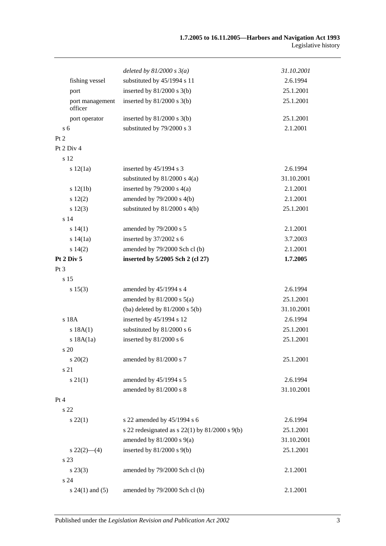|                            | deleted by $81/2000 s 3(a)$                          | 31.10.2001 |
|----------------------------|------------------------------------------------------|------------|
| fishing vessel             | substituted by 45/1994 s 11                          | 2.6.1994   |
| port                       | inserted by $81/2000$ s $3(b)$                       | 25.1.2001  |
| port management<br>officer | inserted by $81/2000$ s $3(b)$                       | 25.1.2001  |
| port operator              | inserted by $81/2000$ s $3(b)$                       | 25.1.2001  |
| s <sub>6</sub>             | substituted by 79/2000 s 3                           | 2.1.2001   |
| Pt 2                       |                                                      |            |
| Pt 2 Div 4                 |                                                      |            |
| s 12                       |                                                      |            |
| s 12(1a)                   | inserted by 45/1994 s 3                              | 2.6.1994   |
|                            | substituted by 81/2000 s 4(a)                        | 31.10.2001 |
| s 12(1b)                   | inserted by $79/2000$ s $4(a)$                       | 2.1.2001   |
| 12(2)                      | amended by $79/2000$ s $4(b)$                        | 2.1.2001   |
| s 12(3)                    | substituted by $81/2000$ s $4(b)$                    | 25.1.2001  |
| s 14                       |                                                      |            |
| s 14(1)                    | amended by 79/2000 s 5                               | 2.1.2001   |
| s 14(1a)                   | inserted by 37/2002 s 6                              | 3.7.2003   |
| s 14(2)                    | amended by 79/2000 Sch cl (b)                        | 2.1.2001   |
| Pt 2 Div 5                 | inserted by 5/2005 Sch 2 (cl 27)                     | 1.7.2005   |
| Pt <sub>3</sub>            |                                                      |            |
| s 15                       |                                                      |            |
| s 15(3)                    | amended by 45/1994 s 4                               | 2.6.1994   |
|                            | amended by $81/2000$ s $5(a)$                        | 25.1.2001  |
|                            | (ba) deleted by $81/2000$ s $5(b)$                   | 31.10.2001 |
| s 18A                      | inserted by 45/1994 s 12                             | 2.6.1994   |
| s 18A(1)                   | substituted by 81/2000 s 6                           | 25.1.2001  |
| s 18A(1a)                  | inserted by 81/2000 s 6                              | 25.1.2001  |
| s <sub>20</sub>            |                                                      |            |
| $s \ 20(2)$                | amended by 81/2000 s 7                               | 25.1.2001  |
| s 21                       |                                                      |            |
| $s \, 21(1)$               | amended by 45/1994 s 5                               | 2.6.1994   |
|                            | amended by 81/2000 s 8                               | 31.10.2001 |
| Pt 4                       |                                                      |            |
| s 22                       |                                                      |            |
| $s\,22(1)$                 | s 22 amended by 45/1994 s 6                          | 2.6.1994   |
|                            | s 22 redesignated as s $22(1)$ by $81/2000$ s $9(b)$ | 25.1.2001  |
|                            | amended by $81/2000$ s $9(a)$                        | 31.10.2001 |
| $s\,22(2)$ - (4)           | inserted by $81/2000$ s $9(b)$                       | 25.1.2001  |
| s 23                       |                                                      |            |
| $s\,23(3)$                 | amended by 79/2000 Sch cl (b)                        | 2.1.2001   |
| s 24                       |                                                      |            |
| $s 24(1)$ and $(5)$        | amended by 79/2000 Sch cl (b)                        | 2.1.2001   |
|                            |                                                      |            |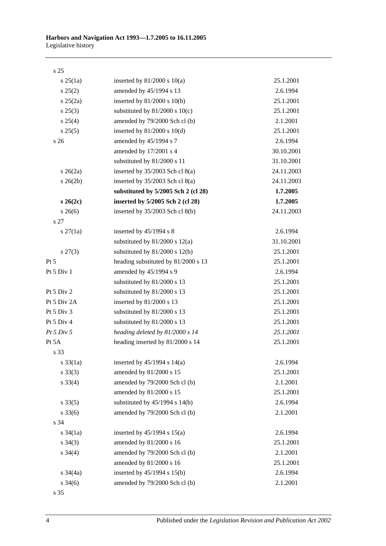| ۰.<br>۰. | I<br>۰.<br>× |
|----------|--------------|
|          |              |

| $s \, 25(1a)$       | inserted by $81/2000$ s $10(a)$     | 25.1.2001  |
|---------------------|-------------------------------------|------------|
| $s\,25(2)$          | amended by 45/1994 s 13             | 2.6.1994   |
| $s \, 25(2a)$       | inserted by $81/2000$ s $10(b)$     | 25.1.2001  |
| $s\,25(3)$          | substituted by $81/2000$ s $10(c)$  | 25.1.2001  |
| s 25(4)             | amended by 79/2000 Sch cl (b)       | 2.1.2001   |
| s 25(5)             | inserted by $81/2000$ s $10(d)$     | 25.1.2001  |
| s 26                | amended by 45/1994 s 7              | 2.6.1994   |
|                     | amended by 17/2001 s 4              | 30.10.2001 |
|                     | substituted by 81/2000 s 11         | 31.10.2001 |
| $s \; 26(2a)$       | inserted by $35/2003$ Sch cl $8(a)$ | 24.11.2003 |
| $s \; 26(2b)$       | inserted by $35/2003$ Sch cl $8(a)$ | 24.11.2003 |
|                     | substituted by 5/2005 Sch 2 (cl 28) | 1.7.2005   |
| $s \, 26(2c)$       | inserted by 5/2005 Sch 2 (cl 28)    | 1.7.2005   |
| $s \; 26(6)$        | inserted by 35/2003 Sch cl 8(b)     | 24.11.2003 |
| s 27                |                                     |            |
| $s \, 27(1a)$       | inserted by $45/1994$ s 8           | 2.6.1994   |
|                     | substituted by $81/2000$ s $12(a)$  | 31.10.2001 |
| $s\,27(3)$          | substituted by $81/2000$ s $12(b)$  | 25.1.2001  |
| Pt 5                | heading substituted by 81/2000 s 13 | 25.1.2001  |
| Pt 5 Div 1          | amended by 45/1994 s 9              | 2.6.1994   |
|                     | substituted by 81/2000 s 13         | 25.1.2001  |
| Pt 5 Div 2          | substituted by 81/2000 s 13         | 25.1.2001  |
| Pt 5 Div 2A         | inserted by 81/2000 s 13            | 25.1.2001  |
| Pt 5 Div 3          | substituted by 81/2000 s 13         | 25.1.2001  |
| Pt 5 Div 4          | substituted by 81/2000 s 13         | 25.1.2001  |
| Pt 5 Div 5          | heading deleted by 81/2000 s 14     | 25.1.2001  |
| Pt 5A               | heading inserted by 81/2000 s 14    | 25.1.2001  |
| s 33                |                                     |            |
| $s \frac{33}{1a}$   | inserted by $45/1994$ s $14(a)$     | 2.6.1994   |
| $s \, 33(3)$        | amended by 81/2000 s 15             | 25.1.2001  |
| $s \, 33(4)$        | amended by 79/2000 Sch cl (b)       | 2.1.2001   |
|                     | amended by 81/2000 s 15             | 25.1.2001  |
| $s \, 33(5)$        | substituted by $45/1994$ s $14(b)$  | 2.6.1994   |
| $s \, 33(6)$        | amended by 79/2000 Sch cl (b)       | 2.1.2001   |
| s 34                |                                     |            |
| $s \frac{34}{1a}$   | inserted by $45/1994$ s $15(a)$     | 2.6.1994   |
| $s \; 34(3)$        | amended by 81/2000 s 16             | 25.1.2001  |
| $s \; 34(4)$        | amended by 79/2000 Sch cl (b)       | 2.1.2001   |
|                     | amended by 81/2000 s 16             | 25.1.2001  |
| s $34(4a)$          | inserted by $45/1994$ s $15(b)$     | 2.6.1994   |
| $s \frac{34(6)}{2}$ | amended by 79/2000 Sch cl (b)       | 2.1.2001   |
| s 35                |                                     |            |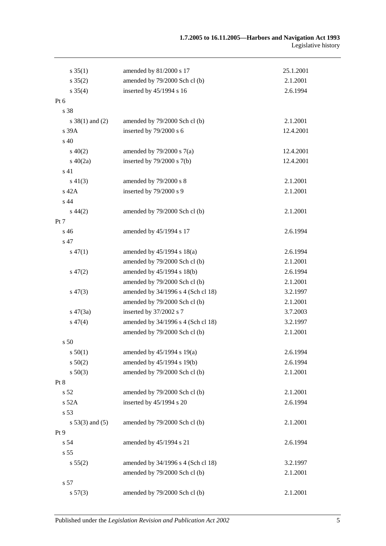| $s \, 35(1)$        | amended by 81/2000 s 17            | 25.1.2001 |
|---------------------|------------------------------------|-----------|
| $s \, 35(2)$        | amended by 79/2000 Sch cl (b)      | 2.1.2001  |
| $s \, 35(4)$        | inserted by 45/1994 s 16           | 2.6.1994  |
| Pt 6                |                                    |           |
| s 38                |                                    |           |
| $s \ 38(1)$ and (2) | amended by 79/2000 Sch cl (b)      | 2.1.2001  |
| s 39A               | inserted by 79/2000 s 6            | 12.4.2001 |
| s 40                |                                    |           |
| $s\ 40(2)$          | amended by $79/2000$ s $7(a)$      | 12.4.2001 |
| $s\ 40(2a)$         | inserted by $79/2000$ s $7(b)$     | 12.4.2001 |
| s 41                |                                    |           |
| $s\ 41(3)$          | amended by 79/2000 s 8             | 2.1.2001  |
| s 42A               | inserted by 79/2000 s 9            | 2.1.2001  |
| s 44                |                                    |           |
| $s\,44(2)$          | amended by 79/2000 Sch cl (b)      | 2.1.2001  |
| Pt 7                |                                    |           |
| s 46                | amended by 45/1994 s 17            | 2.6.1994  |
| s 47                |                                    |           |
| $s\,47(1)$          | amended by $45/1994$ s $18(a)$     | 2.6.1994  |
|                     | amended by 79/2000 Sch cl (b)      | 2.1.2001  |
| $s\,47(2)$          | amended by 45/1994 s 18(b)         | 2.6.1994  |
|                     | amended by 79/2000 Sch cl (b)      | 2.1.2001  |
| $s\,47(3)$          | amended by 34/1996 s 4 (Sch cl 18) | 3.2.1997  |
|                     | amended by 79/2000 Sch cl (b)      | 2.1.2001  |
| $s\,47(3a)$         | inserted by 37/2002 s 7            | 3.7.2003  |
| $s\,47(4)$          | amended by 34/1996 s 4 (Sch cl 18) | 3.2.1997  |
|                     | amended by 79/2000 Sch cl (b)      | 2.1.2001  |
| s 50                |                                    |           |
| s 50(1)             | amended by $45/1994$ s 19(a)       | 2.6.1994  |
| s 50(2)             | amended by 45/1994 s 19(b)         | 2.6.1994  |
| $s\ 50(3)$          | amended by 79/2000 Sch cl (b)      | 2.1.2001  |
| Pt 8                |                                    |           |
| s 52                | amended by 79/2000 Sch cl (b)      | 2.1.2001  |
| s 52A               | inserted by 45/1994 s 20           | 2.6.1994  |
| s 53                |                                    |           |
| $s 53(3)$ and $(5)$ | amended by 79/2000 Sch cl (b)      | 2.1.2001  |
| Pt 9                |                                    |           |
| s 54                | amended by 45/1994 s 21            | 2.6.1994  |
| s 55                |                                    |           |
| s 55(2)             | amended by 34/1996 s 4 (Sch cl 18) | 3.2.1997  |
|                     | amended by 79/2000 Sch cl (b)      | 2.1.2001  |
| s 57                |                                    |           |
| s 57(3)             | amended by 79/2000 Sch cl (b)      | 2.1.2001  |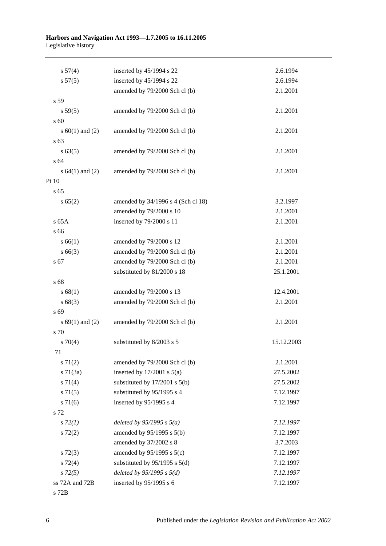#### **Harbors and Navigation Act 1993—1.7.2005 to 16.11.2005** Legislative history

| s 57(4)             | inserted by 45/1994 s 22           | 2.6.1994   |
|---------------------|------------------------------------|------------|
| s 57(5)             | inserted by 45/1994 s 22           | 2.6.1994   |
|                     | amended by 79/2000 Sch cl (b)      | 2.1.2001   |
| s 59                |                                    |            |
| s 59(5)             | amended by 79/2000 Sch cl (b)      | 2.1.2001   |
| s 60                |                                    |            |
| s $60(1)$ and $(2)$ | amended by 79/2000 Sch cl (b)      | 2.1.2001   |
| s 63                |                                    |            |
| s 63(5)             | amended by 79/2000 Sch cl (b)      | 2.1.2001   |
| s 64                |                                    |            |
| s $64(1)$ and $(2)$ | amended by 79/2000 Sch cl (b)      | 2.1.2001   |
| Pt 10               |                                    |            |
| s <sub>65</sub>     |                                    |            |
| s 65(2)             | amended by 34/1996 s 4 (Sch cl 18) | 3.2.1997   |
|                     | amended by 79/2000 s 10            | 2.1.2001   |
| s 65A               | inserted by 79/2000 s 11           | 2.1.2001   |
| s 66                |                                    |            |
| s 66(1)             | amended by 79/2000 s 12            | 2.1.2001   |
| $s\,66(3)$          | amended by 79/2000 Sch cl (b)      | 2.1.2001   |
| s 67                | amended by 79/2000 Sch cl (b)      | 2.1.2001   |
|                     | substituted by 81/2000 s 18        | 25.1.2001  |
| s 68                |                                    |            |
| s 68(1)             | amended by 79/2000 s 13            | 12.4.2001  |
| s68(3)              | amended by 79/2000 Sch cl (b)      | 2.1.2001   |
| s 69                |                                    |            |
| s $69(1)$ and $(2)$ | amended by 79/2000 Sch cl (b)      | 2.1.2001   |
| s 70                |                                    |            |
| $s \, 70(4)$        | substituted by 8/2003 s 5          | 15.12.2003 |
| 71                  |                                    |            |
| $s \, 71(2)$        | amended by 79/2000 Sch cl (b)      | 2.1.2001   |
| $s \, 71(3a)$       | inserted by $17/2001$ s $5(a)$     | 27.5.2002  |
| $s \, 71(4)$        | substituted by $17/2001$ s $5(b)$  | 27.5.2002  |
| s 71(5)             | substituted by 95/1995 s 4         | 7.12.1997  |
| $s \, 71(6)$        | inserted by 95/1995 s 4            | 7.12.1997  |
| s 72                |                                    |            |
| $s\,72(1)$          | deleted by $95/1995$ s $5(a)$      | 7.12.1997  |
| $s\ 72(2)$          | amended by 95/1995 s 5(b)          | 7.12.1997  |
|                     | amended by 37/2002 s 8             | 3.7.2003   |
| $s\ 72(3)$          | amended by $95/1995$ s $5(c)$      | 7.12.1997  |
| $s \, 72(4)$        | substituted by $95/1995$ s $5(d)$  | 7.12.1997  |
| $s\,72(5)$          | deleted by $95/1995 s 5(d)$        | 7.12.1997  |
| ss 72A and 72B      | inserted by 95/1995 s 6            | 7.12.1997  |
| s 72B               |                                    |            |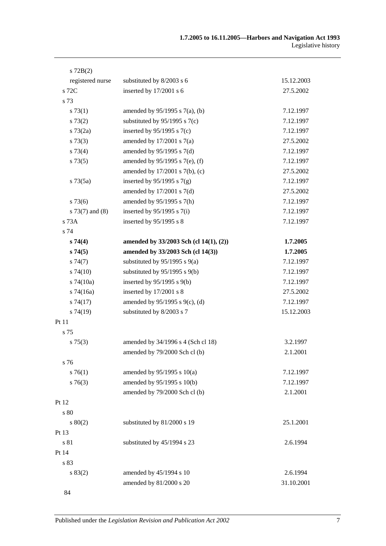| $s$ 72B(2)        |                                        |            |
|-------------------|----------------------------------------|------------|
| registered nurse  | substituted by 8/2003 s 6              | 15.12.2003 |
| s 72C             | inserted by 17/2001 s 6                | 27.5.2002  |
| s 73              |                                        |            |
| s 73(1)           | amended by $95/1995$ s $7(a)$ , (b)    | 7.12.1997  |
| $s\,73(2)$        | substituted by $95/1995$ s $7(c)$      | 7.12.1997  |
| $s \, 73(2a)$     | inserted by $95/1995$ s $7(c)$         | 7.12.1997  |
| $s\,73(3)$        | amended by $17/2001$ s $7(a)$          | 27.5.2002  |
| $s\,73(4)$        | amended by $95/1995$ s $7(d)$          | 7.12.1997  |
| s 73(5)           | amended by 95/1995 s 7(e), (f)         | 7.12.1997  |
|                   | amended by $17/2001$ s $7(b)$ , (c)    | 27.5.2002  |
| $s \, 73(5a)$     | inserted by $95/1995$ s $7(g)$         | 7.12.1997  |
|                   | amended by $17/2001$ s $7(d)$          | 27.5.2002  |
| $s\,73(6)$        | amended by 95/1995 s 7(h)              | 7.12.1997  |
| $s$ 73(7) and (8) | inserted by $95/1995$ s $7(i)$         | 7.12.1997  |
| s 73A             | inserted by $95/1995$ s 8              | 7.12.1997  |
| s 74              |                                        |            |
| s 74(4)           | amended by 33/2003 Sch (cl 14(1), (2)) | 1.7.2005   |
| s74(5)            | amended by 33/2003 Sch (cl 14(3))      | 1.7.2005   |
| s74(7)            | substituted by $95/1995$ s $9(a)$      | 7.12.1997  |
| $s\,74(10)$       | substituted by $95/1995$ s $9(b)$      | 7.12.1997  |
| $s$ 74(10a)       | inserted by $95/1995$ s $9(b)$         | 7.12.1997  |
| $s$ 74(16a)       | inserted by 17/2001 s 8                | 27.5.2002  |
| s74(17)           | amended by 95/1995 s 9(c), (d)         | 7.12.1997  |
| $s\,74(19)$       | substituted by 8/2003 s 7              | 15.12.2003 |
| Pt 11             |                                        |            |
| s 75              |                                        |            |
| $s \, 75(3)$      | amended by 34/1996 s 4 (Sch cl 18)     | 3.2.1997   |
|                   | amended by 79/2000 Sch cl (b)          | 2.1.2001   |
| s 76              |                                        |            |
| $s \, 76(1)$      | amended by $95/1995$ s $10(a)$         | 7.12.1997  |
| $s \, 76(3)$      | amended by 95/1995 s 10(b)             | 7.12.1997  |
|                   | amended by 79/2000 Sch cl (b)          | 2.1.2001   |
| Pt 12             |                                        |            |
| s 80              |                                        |            |
| 80(2)             | substituted by 81/2000 s 19            | 25.1.2001  |
| Pt 13             |                                        |            |
| s 81              | substituted by 45/1994 s 23            | 2.6.1994   |
| Pt 14             |                                        |            |
| s 83              |                                        |            |
| s 83(2)           | amended by 45/1994 s 10                | 2.6.1994   |
|                   | amended by 81/2000 s 20                | 31.10.2001 |
| 84                |                                        |            |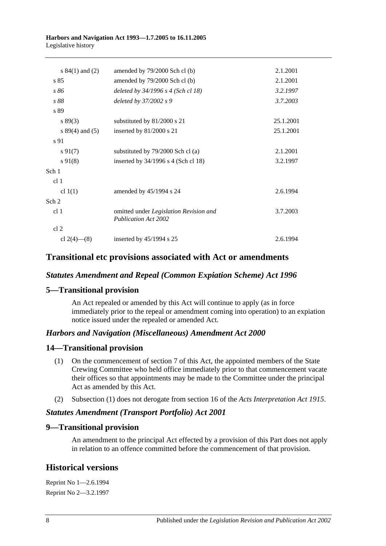#### **Harbors and Navigation Act 1993—1.7.2005 to 16.11.2005** Legislative history

| s $84(1)$ and $(2)$ | amended by 79/2000 Sch cl (b)                                         | 2.1.2001  |
|---------------------|-----------------------------------------------------------------------|-----------|
| s 85                | amended by 79/2000 Sch cl (b)                                         | 2.1.2001  |
| s 86                | deleted by $34/1996$ s 4 (Sch cl 18)                                  | 3.2.1997  |
| s 88                | deleted by 37/2002 s 9                                                | 3.7.2003  |
| s 89                |                                                                       |           |
| $s\,89(3)$          | substituted by 81/2000 s 21                                           | 25.1.2001 |
| s $89(4)$ and $(5)$ | inserted by 81/2000 s 21                                              | 25.1.2001 |
| s 91                |                                                                       |           |
| $s\,91(7)$          | substituted by 79/2000 Sch cl (a)                                     | 2.1.2001  |
| $s\,91(8)$          | inserted by 34/1996 s 4 (Sch cl 18)                                   | 3.2.1997  |
| Sch 1               |                                                                       |           |
| cl <sub>1</sub>     |                                                                       |           |
| cl $1(1)$           | amended by 45/1994 s 24                                               | 2.6.1994  |
| Sch 2               |                                                                       |           |
| cl <sub>1</sub>     | omitted under Legislation Revision and<br><b>Publication Act 2002</b> | 3.7.2003  |
| cl 2                |                                                                       |           |
| cl 2(4)–(8)         | inserted by $45/1994$ s 25                                            | 2.6.1994  |

## **Transitional etc provisions associated with Act or amendments**

### *Statutes Amendment and Repeal (Common Expiation Scheme) Act 1996*

## **5—Transitional provision**

An Act repealed or amended by this Act will continue to apply (as in force immediately prior to the repeal or amendment coming into operation) to an expiation notice issued under the repealed or amended Act.

### *Harbors and Navigation (Miscellaneous) Amendment Act 2000*

### **14—Transitional provision**

- (1) On the commencement of section 7 of this Act, the appointed members of the State Crewing Committee who held office immediately prior to that commencement vacate their offices so that appointments may be made to the Committee under the principal Act as amended by this Act.
- (2) Subsection (1) does not derogate from section 16 of the *[Acts Interpretation Act](http://www.legislation.sa.gov.au/index.aspx?action=legref&type=act&legtitle=Acts%20Interpretation%20Act%201915) 1915*.

### *Statutes Amendment (Transport Portfolio) Act 2001*

### **9—Transitional provision**

An amendment to the principal Act effected by a provision of this Part does not apply in relation to an offence committed before the commencement of that provision.

## **Historical versions**

Reprint No 1—2.6.1994 Reprint No 2—3.2.1997